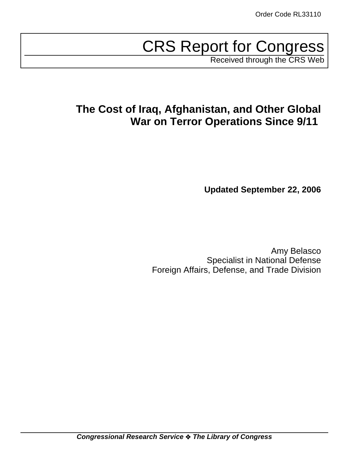# CRS Report for Congress

Received through the CRS Web

## **The Cost of Iraq, Afghanistan, and Other Global War on Terror Operations Since 9/11**

**Updated September 22, 2006**

Amy Belasco Specialist in National Defense Foreign Affairs, Defense, and Trade Division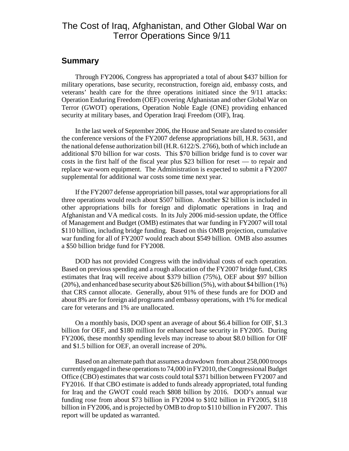## The Cost of Iraq, Afghanistan, and Other Global War on Terror Operations Since 9/11

### **Summary**

Through FY2006, Congress has appropriated a total of about \$437 billion for military operations, base security, reconstruction, foreign aid, embassy costs, and veterans' health care for the three operations initiated since the 9/11 attacks: Operation Enduring Freedom (OEF) covering Afghanistan and other Global War on Terror (GWOT) operations, Operation Noble Eagle (ONE) providing enhanced security at military bases, and Operation Iraqi Freedom (OIF), Iraq.

In the last week of September 2006, the House and Senate are slated to consider the conference versions of the FY2007 defense appropriations bill, H.R. 5631, and the national defense authorization bill (H.R. 6122/S. 2766), both of which include an additional \$70 billion for war costs. This \$70 billion bridge fund is to cover war costs in the first half of the fiscal year plus \$23 billion for reset — to repair and replace war-worn equipment. The Administration is expected to submit a FY2007 supplemental for additional war costs some time next year.

If the FY2007 defense appropriation bill passes, total war appropriations for all three operations would reach about \$507 billion. Another \$2 billion is included in other appropriations bills for foreign and diplomatic operations in Iraq and Afghanistan and VA medical costs. In its July 2006 mid-session update, the Office of Management and Budget (OMB) estimates that war funding in FY2007 will total \$110 billion, including bridge funding. Based on this OMB projection, cumulative war funding for all of FY2007 would reach about \$549 billion. OMB also assumes a \$50 billion bridge fund for FY2008.

DOD has not provided Congress with the individual costs of each operation. Based on previous spending and a rough allocation of the FY2007 bridge fund, CRS estimates that Iraq will receive about \$379 billion (75%), OEF about \$97 billion (20%), and enhanced base security about \$26 billion (5%), with about \$4 billion (1%) that CRS cannot allocate. Generally, about 91% of these funds are for DOD and about 8% are for foreign aid programs and embassy operations, with 1% for medical care for veterans and 1% are unallocated.

On a monthly basis, DOD spent an average of about \$6.4 billion for OIF, \$1.3 billion for OEF, and \$180 million for enhanced base security in FY2005. During FY2006, these monthly spending levels may increase to about \$8.0 billion for OIF and \$1.5 billion for OEF, an overall increase of 20%.

Based on an alternate path that assumes a drawdown from about 258,000 troops currently engaged in these operations to 74,000 in FY2010, the Congressional Budget Office (CBO) estimates that war costs could total \$371 billion between FY2007 and FY2016. If that CBO estimate is added to funds already appropriated, total funding for Iraq and the GWOT could reach \$808 billion by 2016. DOD's annual war funding rose from about \$73 billion in FY2004 to \$102 billion in FY2005, \$118 billion in FY2006, and is projected by OMB to drop to \$110 billion in FY2007. This report will be updated as warranted.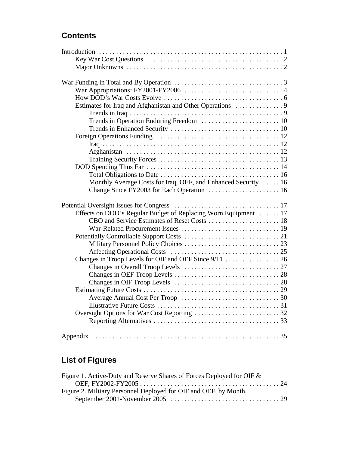## **Contents**

| Monthly Average Costs for Iraq, OEF, and Enhanced Security  16  |  |
|-----------------------------------------------------------------|--|
|                                                                 |  |
|                                                                 |  |
| Effects on DOD's Regular Budget of Replacing Worn Equipment  17 |  |
|                                                                 |  |
|                                                                 |  |
|                                                                 |  |
|                                                                 |  |
|                                                                 |  |
| Changes in Troop Levels for OIF and OEF Since 9/11  26          |  |
|                                                                 |  |
|                                                                 |  |
|                                                                 |  |
|                                                                 |  |
|                                                                 |  |
|                                                                 |  |
|                                                                 |  |
|                                                                 |  |
|                                                                 |  |
|                                                                 |  |

## **List of Figures**

| Figure 1. Active-Duty and Reserve Shares of Forces Deployed for OIF & |  |
|-----------------------------------------------------------------------|--|
|                                                                       |  |
| Figure 2. Military Personnel Deployed for OIF and OEF, by Month,      |  |
|                                                                       |  |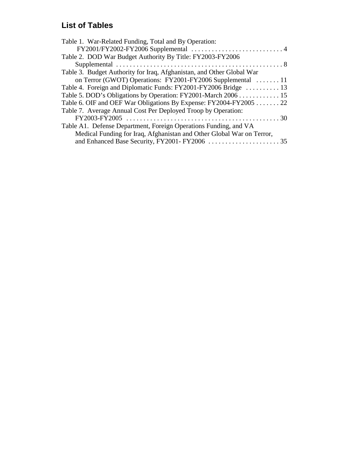## **List of Tables**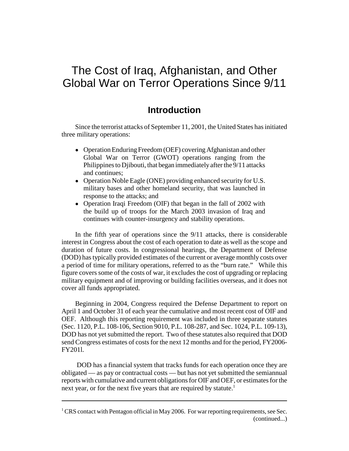## The Cost of Iraq, Afghanistan, and Other Global War on Terror Operations Since 9/11

## **Introduction**

Since the terrorist attacks of September 11, 2001, the United States has initiated three military operations:

- ! Operation Enduring Freedom (OEF) covering Afghanistan and other Global War on Terror (GWOT) operations ranging from the Philippines to Djibouti, that began immediately after the 9/11 attacks and continues;
- Operation Noble Eagle (ONE) providing enhanced security for U.S. military bases and other homeland security, that was launched in response to the attacks; and
- Operation Iraqi Freedom (OIF) that began in the fall of 2002 with the build up of troops for the March 2003 invasion of Iraq and continues with counter-insurgency and stability operations.

In the fifth year of operations since the 9/11 attacks, there is considerable interest in Congress about the cost of each operation to date as well as the scope and duration of future costs. In congressional hearings, the Department of Defense (DOD) has typically provided estimates of the current or average monthly costs over a period of time for military operations, referred to as the "burn rate." While this figure covers some of the costs of war, it excludes the cost of upgrading or replacing military equipment and of improving or building facilities overseas, and it does not cover all funds appropriated.

Beginning in 2004, Congress required the Defense Department to report on April 1 and October 31 of each year the cumulative and most recent cost of OIF and OEF. Although this reporting requirement was included in three separate statutes (Sec. 1120, P.L. 108-106, Section 9010, P.L. 108-287, and Sec. 1024, P.L. 109-13), DOD has not yet submitted the report. Two of these statutes also required that DOD send Congress estimates of costs for the next 12 months and for the period, FY2006- FY201l.

 DOD has a financial system that tracks funds for each operation once they are obligated — as pay or contractual costs — but has not yet submitted the semiannual reports with cumulative and current obligations for OIF and OEF, or estimates for the next year, or for the next five years that are required by statute.<sup>1</sup>

<sup>&</sup>lt;sup>1</sup> CRS contact with Pentagon official in May 2006. For war reporting requirements, see Sec. (continued...)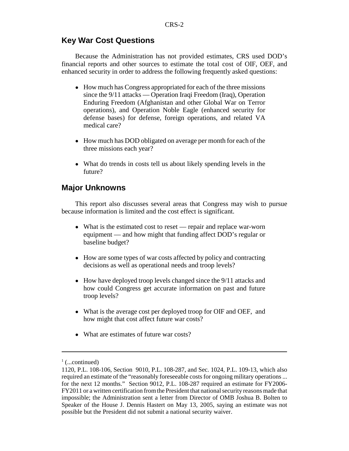## **Key War Cost Questions**

Because the Administration has not provided estimates, CRS used DOD's financial reports and other sources to estimate the total cost of OIF, OEF, and enhanced security in order to address the following frequently asked questions:

- How much has Congress appropriated for each of the three missions since the 9/11 attacks — Operation Iraqi Freedom (Iraq), Operation Enduring Freedom (Afghanistan and other Global War on Terror operations), and Operation Noble Eagle (enhanced security for defense bases) for defense, foreign operations, and related VA medical care?
- How much has DOD obligated on average per month for each of the three missions each year?
- What do trends in costs tell us about likely spending levels in the future?

## **Major Unknowns**

This report also discusses several areas that Congress may wish to pursue because information is limited and the cost effect is significant.

- What is the estimated cost to reset repair and replace war-worn equipment — and how might that funding affect DOD's regular or baseline budget?
- How are some types of war costs affected by policy and contracting decisions as well as operational needs and troop levels?
- How have deployed troop levels changed since the 9/11 attacks and how could Congress get accurate information on past and future troop levels?
- What is the average cost per deployed troop for OIF and OEF, and how might that cost affect future war costs?
- What are estimates of future war costs?

 $\frac{1}{1}$  (...continued)

<sup>1120,</sup> P.L. 108-106, Section 9010, P.L. 108-287, and Sec. 1024, P.L. 109-13, which also required an estimate of the "reasonably foreseeable costs for ongoing military operations ... for the next 12 months." Section 9012, P.L. 108-287 required an estimate for FY2006- FY2011 or a written certification from the President that national security reasons made that impossible; the Administration sent a letter from Director of OMB Joshua B. Bolten to Speaker of the House J. Dennis Hastert on May 13, 2005, saying an estimate was not possible but the President did not submit a national security waiver.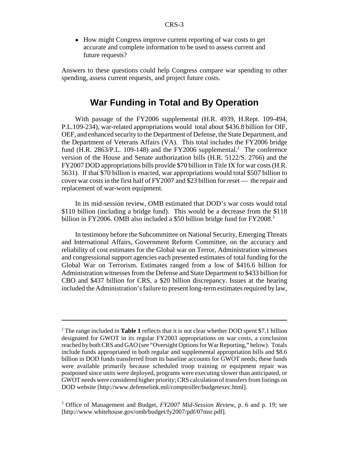• How might Congress improve current reporting of war costs to get accurate and complete information to be used to assess current and future requests?

Answers to these questions could help Congress compare war spending to other spending, assess current requests, and project future costs.

## **War Funding in Total and By Operation**

With passage of the FY2006 supplemental (H.R. 4939, H.Rept. 109-494, P.L.109-234), war-related appropriations would total about \$436.8 billion for OIF, OEF, and enhanced security to the Department of Defense, the State Department, and the Department of Veterans Affairs (VA). This total includes the FY2006 bridge fund (H.R. 2863/P.L. 109-148) and the FY2006 supplemental.<sup>2</sup> The conference version of the House and Senate authorization bills (H.R. 5122/S. 2766) and the FY2007 DOD appropriations bills provide \$70 billion in Title IX for war costs (H.R. 5631). If that \$70 billion is enacted, war appropriations would total \$507 billion to cover war costs in the first half of FY2007 and \$23 billion for reset — the repair and replacement of war-worn equipment.

In its mid-session review, OMB estimated that DOD's war costs would total \$110 billion (including a bridge fund). This would be a decrease from the \$118 billion in FY2006. OMB also included a \$50 billion bridge fund for FY2008.<sup>3</sup>

In testimony before the Subcommittee on National Security, Emerging Threats and International Affairs, Government Reform Committee, on the accuracy and reliability of cost estimates for the Global war on Terror, Administration witnesses and congressional support agencies each presented estimates of total funding for the Global War on Terrorism. Estimates ranged from a low of \$416.6 billion for Administration witnesses from the Defense and State Department to \$433 billion for CBO and \$437 billion for CRS, a \$20 billion discrepancy. Issues at the hearing included the Administration's failure to present long-term estimates required by law,

<sup>2</sup> The range included in **Table 1** reflects that it is not clear whether DOD spent \$7.1 billion designated for GWOT in its regular FY2003 appropriations on war costs, a conclusion reached by both CRS and GAO (see "Oversight Options for War Reporting," below). Totals include funds appropriated in both regular and supplemental appropriation bills and \$8.6 billion in DOD funds transferred from its baseline accounts for GWOT needs; these funds were available primarily because scheduled troop training or equipment repair was postponed since units were deployed, programs were executing slower than anticipated, or GWOT needs were considered higher priority; CRS calculation of transfers from listings on DOD website [http://www.defenselink.mil/comptroller/budgetexec.html].

<sup>3</sup> Office of Management and Budget, *FY2007 Mid-Session Review*, p. 6 and p. 19; see [http://www.whitehouse.gov/omb/budget/fy2007/pdf/07msr.pdf].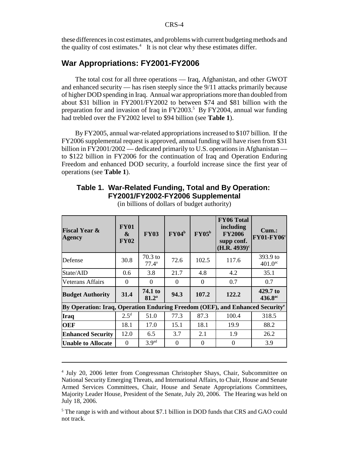these differences in cost estimates, and problems with current budgeting methods and the quality of cost estimates. $4$  It is not clear why these estimates differ.

## **War Appropriations: FY2001-FY2006**

The total cost for all three operations — Iraq, Afghanistan, and other GWOT and enhanced security — has risen steeply since the 9/11 attacks primarily because of higher DOD spending in Iraq. Annual war appropriations more than doubled from about \$31 billion in FY2001/FY2002 to between \$74 and \$81 billion with the preparation for and invasion of Iraq in FY2003.<sup>5</sup> By FY2004, annual war funding had trebled over the FY2002 level to \$94 billion (see **Table 1**).

By FY2005, annual war-related appropriations increased to \$107 billion. If the FY2006 supplemental request is approved, annual funding will have risen from \$31 billion in FY2001/2002 — dedicated primarily to U.S. operations in Afghanistan to \$122 billion in FY2006 for the continuation of Iraq and Operation Enduring Freedom and enhanced DOD security, a fourfold increase since the first year of operations (see **Table 1**).

## **Table 1. War-Related Funding, Total and By Operation: FY2001/FY2002-FY2006 Supplemental**

| <b>Fiscal Year &amp;</b><br><b>Agency</b>                                                | <b>FY01</b><br>$\boldsymbol{\alpha}$<br><b>FY02</b> | <b>FY03</b>                 | $\mathbf{FY04}^{\mathrm{b}}$ | $\rm FY05^b$ | <b>FY06 Total</b><br>including<br><b>FY2006</b><br>supp conf.<br>$(H.R. 4939)^c$ | $Cum.$ :<br><b>FY01-FY06°</b>   |
|------------------------------------------------------------------------------------------|-----------------------------------------------------|-----------------------------|------------------------------|--------------|----------------------------------------------------------------------------------|---------------------------------|
| Defense                                                                                  | 30.8                                                | $70.3$ to<br>$77.4^{\rm a}$ | 72.6                         | 102.5        | 117.6                                                                            | 393.9 to<br>$401.0^{ac}$        |
| State/AID                                                                                | 0.6                                                 | 3.8                         | 21.7                         | 4.8          | 4.2                                                                              | 35.1                            |
| Veterans Affairs                                                                         | $\Omega$                                            | $\Omega$                    | $\Omega$                     | $\Omega$     | 0.7                                                                              | 0.7                             |
| <b>Budget Authority</b>                                                                  | 31.4                                                | 74.1 to<br>$81.2^{\circ}$   | 94.3                         | 107.2        | 122.2                                                                            | 429.7 to<br>436.8 <sup>ac</sup> |
| By Operation: Iraq, Operation Enduring Freedom (OEF), and Enhanced Security <sup>e</sup> |                                                     |                             |                              |              |                                                                                  |                                 |
| Iraq                                                                                     | 2.5 <sup>d</sup>                                    | 51.0                        | 77.3                         | 87.3         | 100.4                                                                            | 318.5                           |
| <b>OEF</b>                                                                               | 18.1                                                | 17.0                        | 15.1                         | 18.1         | 19.9                                                                             | 88.2                            |
| <b>Enhanced Security</b>                                                                 | 12.0                                                | 6.5                         | 3.7                          | 2.1          | 1.9                                                                              | 26.2                            |
| <b>Unable to Allocate</b>                                                                | $\Omega$                                            | 3.9 <sup>ad</sup>           | $\Omega$                     | $\Omega$     | $\Omega$                                                                         | 3.9                             |

(in billions of dollars of budget authority)

<sup>&</sup>lt;sup>4</sup> July 20, 2006 letter from Congressman Christopher Shays, Chair, Subcommittee on National Security Emerging Threats, and International Affairs, to Chair, House and Senate Armed Services Committees, Chair, House and Senate Appropriations Committees, Majority Leader House, President of the Senate, July 20, 2006. The Hearing was held on July 18, 2006.

<sup>&</sup>lt;sup>5</sup> The range is with and without about \$7.1 billion in DOD funds that CRS and GAO could not track.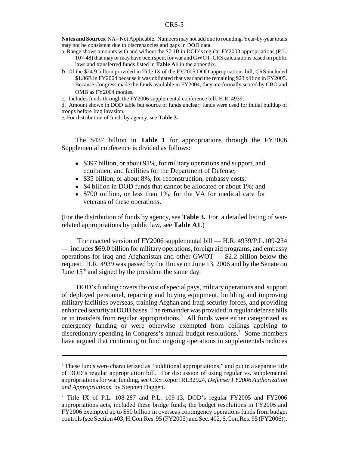**Notes and Sources**: NA= Not Applicable. Numbers may not add due to rounding. Year-by-year totals may not be consistent due to discrepancies and gaps in DOD data.

- a. Range shows amounts with and without the \$7.1B in DOD's regular FY2003 appropriations (P.L. 107-48) that may or may have been spent for war and GWOT. CRS calculations based on public laws and transferred funds listed in **Table A1** in the appendix.
- b. Of the \$24.9 billion provided in Title IX of the FY2005 DOD appropriations bill, CRS included \$1.86B in FY2004 because it was obligated that year and the remaining \$23 billion in FY2005. Because Congress made the funds available in FY2004, they are formally scored by CBO and OMB as FY2004 monies.

c. Includes funds through the FY2006 supplemental conference bill, H.R. 4939.

d. Amount shown in DOD table but source of funds unclear; funds were used for initial buildup of troops before Iraq invasion.

e. For distribution of funds by agency, see **Table 3.** 

The \$437 billion in **Table 1** for appropriations through the FY2006 Supplemental conference is divided as follows:

- \$397 billion, or about 91%, for military operations and support, and equipment and facilities for the Department of Defense;
- \$35 billion, or about 8%, for reconstruction, embassy costs;
- \$4 billion in DOD funds that cannot be allocated or about 1%; and
- \$700 million, or less than 1%, for the VA for medical care for veterans of these operations.

(For the distribution of funds by agency, see **Table 3.** For a detailed listing of warrelated appropriations by public law, see **Table A1**.)

The enacted version of FY2006 supplemental bill — H.R. 4939/P.L.109-234 — includes \$69.0 billion for military operations, foreign aid programs, and embassy operations for Iraq and Afghanistan and other GWOT — \$2.2 billion below the request. H.R. 4939 was passed by the House on June 13, 2006 and by the Senate on June  $15<sup>th</sup>$  and signed by the president the same day.

 DOD's funding covers the cost of special pays, military operations and support of deployed personnel, repairing and buying equipment, building and improving military facilities overseas, training Afghan and Iraqi security forces, and providing enhanced security at DOD bases. The remainder was provided in regular defense bills or in transfers from regular appropriations.<sup>6</sup> All funds were either categorized as emergency funding or were otherwise exempted from ceilings applying to discretionary spending in Congress's annual budget resolutions.<sup>7</sup> Some members have argued that continuing to fund ongoing operations in supplementals reduces

<sup>&</sup>lt;sup>6</sup> These funds were characterized as "additional appropriations," and put in a separate title of DOD's regular appropriation bill. For discussion of using regular vs. supplemental appropriations for war funding, see CRS Report RL32924, *Defense: FY2006 Authorization and Appropriations*, by Stephen Daggett.

<sup>&</sup>lt;sup>7</sup> Title IX of P.L. 108-287 and P.L. 109-13, DOD's regular FY2005 and FY2006 appropriations acts, included these bridge funds; the budget resolutions in FY2005 and FY2006 exempted up to \$50 billion in overseas contingency operations funds from budget controls (see Section 403, H.Con.Res. 95 (FY2005) and Sec. 402, S.Con.Res. 95 (FY2006)).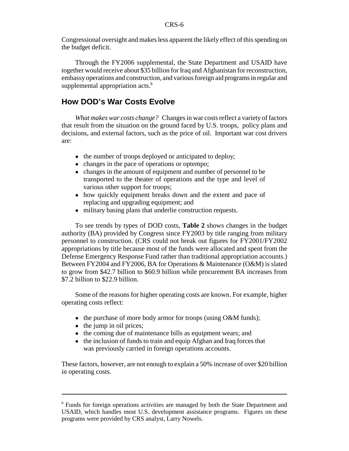Congressional oversight and makes less apparent the likely effect of this spending on the budget deficit.

Through the FY2006 supplemental, the State Department and USAID have together would receive about \$35 billion for Iraq and Afghanistan for reconstruction, embassy operations and construction, and various foreign aid programs in regular and supplemental appropriation acts.<sup>8</sup>

## **How DOD's War Costs Evolve**

*What makes war costs change?* Changes in war costs reflect a variety of factors that result from the situation on the ground faced by U.S. troops, policy plans and decisions, and external factors, such as the price of oil. Important war cost drivers are:

- the number of troops deployed or anticipated to deploy;
- changes in the pace of operations or optempo;
- changes in the amount of equipment and number of personnel to be transported to the theater of operations and the type and level of various other support for troops;
- how quickly equipment breaks down and the extent and pace of replacing and upgrading equipment; and
- military basing plans that underlie construction requests.

To see trends by types of DOD costs, **Table 2** shows changes in the budget authority (BA) provided by Congress since FY2003 by title ranging from military personnel to construction. (CRS could not break out figures for FY2001/FY2002 appropriations by title because most of the funds were allocated and spent from the Defense Emergency Response Fund rather than traditional appropriation accounts.) Between FY2004 and FY2006, BA for Operations & Maintenance (O&M) is slated to grow from \$42.7 billion to \$60.9 billion while procurement BA increases from \$7.2 billion to \$22.9 billion.

Some of the reasons for higher operating costs are known. For example, higher operating costs reflect:

- $\bullet$  the purchase of more body armor for troops (using O&M funds);
- $\bullet$  the jump in oil prices;
- the coming due of maintenance bills as equipment wears; and
- the inclusion of funds to train and equip Afghan and Iraq forces that was previously carried in foreign operations accounts.

These factors, however, are not enough to explain a 50% increase of over \$20 billion in operating costs.

<sup>&</sup>lt;sup>8</sup> Funds for foreign operations activities are managed by both the State Department and USAID, which handles most U.S. development assistance programs. Figures on these programs were provided by CRS analyst, Larry Nowels.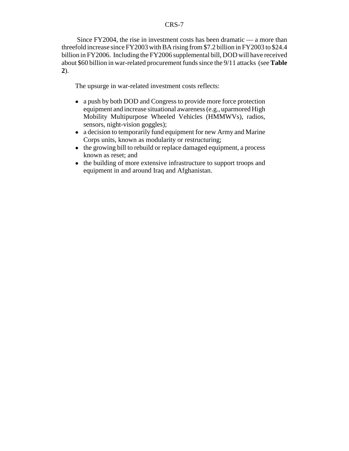Since FY2004, the rise in investment costs has been dramatic — a more than threefold increase since FY2003 with BA rising from \$7.2 billion in FY2003 to \$24.4 billion in FY2006. Including the FY2006 supplemental bill, DOD will have received about \$60 billion in war-related procurement funds since the 9/11 attacks (see **Table 2**).

The upsurge in war-related investment costs reflects:

- a push by both DOD and Congress to provide more force protection equipment and increase situational awareness (e.g., uparmored High Mobility Multipurpose Wheeled Vehicles (HMMWVs), radios, sensors, night-vision goggles);
- a decision to temporarily fund equipment for new Army and Marine Corps units, known as modularity or restructuring;
- the growing bill to rebuild or replace damaged equipment, a process known as reset; and
- the building of more extensive infrastructure to support troops and equipment in and around Iraq and Afghanistan.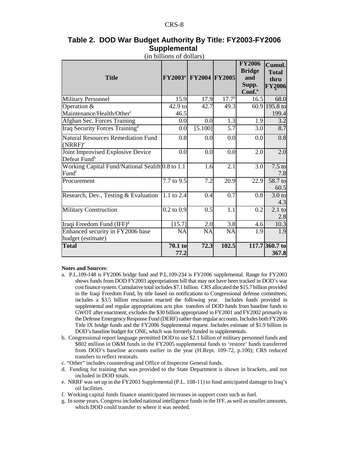### **Table 2. DOD War Budget Authority By Title: FY2003-FY2006 Supplemental**

|                                                               | (111 OIIIIUIIS UI QUIICIS <i>)</i> |                                         |                   | <b>FY2006</b>                                       |                                                 |
|---------------------------------------------------------------|------------------------------------|-----------------------------------------|-------------------|-----------------------------------------------------|-------------------------------------------------|
| <b>Title</b>                                                  |                                    | <b>FY2003<sup>a</sup></b> FY2004 FY2005 |                   | <b>Bridge</b><br>and<br>Supp.<br>Conf. <sup>a</sup> | Cumul.<br><b>Total</b><br>thru<br><b>FY2006</b> |
| <b>Military Personnel</b>                                     | 15.9                               | 17.9                                    | 17.7 <sup>b</sup> | $\overline{1}$ 6.5                                  | 68.0                                            |
| Operation &<br>Maintenance/Health/Other <sup>c</sup>          | 42.9 to<br>46.5                    | 42.7                                    | 49.3              |                                                     | 60.9 195.8 to<br>199.4                          |
| Afghan Sec. Forces Training                                   | 0.0                                | 0.0                                     | 1.3               | 1.9                                                 | 3.2                                             |
| Iraq Security Forces Training <sup>d</sup>                    | 0.0                                | [5.100]                                 | 5.7               | 3.0                                                 | 8.7                                             |
| <b>Natural Resources Remediation Fund</b><br>$(NRRF)^e$       | 0.8                                | 0.0                                     | 0.0               | 0.0                                                 | 0.8                                             |
| Joint Improvised Explosive Device<br>Defeat Fund <sup>b</sup> | 0.0                                | 0.0                                     | 0.0               | 2.0                                                 | 2.0                                             |
| Working Capital Fund/National Sealift 0.8 to 1.1<br>Fundf     |                                    | 1.6                                     | 2.1               | 3.0                                                 | $7.5$ to<br>7.8                                 |
| Procurement                                                   | 7.7 to 9.5                         | 7.2                                     | 20.9              | 22.9                                                | 58.7 to<br>60.5                                 |
| Research, Dev., Testing & Evaluation                          | $1.1$ to $2.4$                     | 0.4                                     | $\overline{0.7}$  | 0.8                                                 | 3.0 <sub>to</sub><br>4.3                        |
| <b>Military Construction</b>                                  | $0.2$ to $0.9$                     | 0.5                                     | 1.1               | 0.2                                                 | $2.1$ to<br>2.8                                 |
| Iraqi Freedom Fund (IFF) <sup>g</sup>                         | [15.7]                             | 2.0                                     | 3.8               | 4.6                                                 | 10.3                                            |
| Enhanced security in FY2006 base<br>budget (estimate)         | <b>NA</b>                          | <b>NA</b>                               | NA                | 1.9                                                 | 1.9                                             |
| <b>Total</b>                                                  | 70.1 to<br>77.2                    | 72.3                                    | 102.5             |                                                     | 117.7 360.7 to<br>367.8                         |

(in billions of dollars)

#### **Notes and Sources**:

- a. P.L.109-148 is FY2006 bridge fund and P.L.109-234 is FY2006 supplemental. Range for FY2003 shows funds from DOD FY2003 appropriations bill that may not have been tracked in DOD's war cost finance system. Cumulative total includes \$7.1 billion. CRS allocated the \$15.7 billion provided in the Iraqi Freedom Fund, by title based on notifications to Congressional defense committees; includes a \$3.5 billion rescission enacted the following year. Includes funds provided in supplemental and regular appropriations acts plus transfers of DOD funds from baseline funds to GWOT after enactment; excludes the \$30 billion appropriated in FY2001 and FY2002 primarily in the Defense Emergency Response Fund (DERF) rather than regular accounts. Includes both FY2006 Title IX bridge funds and the FY2006 Supplemental request. Includes estimate of \$1.9 billion in DOD's baseline budget for ONE, which was formerly funded in supplementals.
- b. Congressional report language permitted DOD to use \$2.1 billion of military personnel funds and \$802 million in O&M funds in the FY2005 supplemental funds to 'restore' funds transferred from DOD's baseline accounts earlier in the year (H.Rept. 109-72, p.100); CRS reduced transfers to reflect restorals.
- c. "Other" includes counterdrug and Office of Inspector General funds.
- d. Funding for training that was provided to the State Department is shown in brackets, and not included in DOD totals.
- e. NRRF was set up in the FY2003 Supplemental (P.L. 108-11) to fund anticipated damage to Iraq's oil facilities.
- f. Working capital funds finance unanticipated increases in support costs such as fuel.
- g. In some years, Congress included national intelligence funds in the IFF, as well as smaller amounts, which DOD could transfer to where it was needed.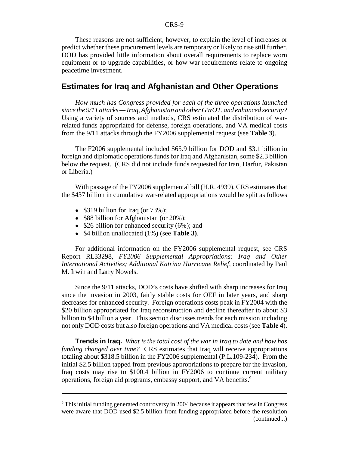These reasons are not sufficient, however, to explain the level of increases or predict whether these procurement levels are temporary or likely to rise still further. DOD has provided little information about overall requirements to replace worn equipment or to upgrade capabilities, or how war requirements relate to ongoing peacetime investment.

## **Estimates for Iraq and Afghanistan and Other Operations**

*How much has Congress provided for each of the three operations launched since the 9/11 attacks — Iraq, Afghanistan and other GWOT, and enhanced security?* Using a variety of sources and methods, CRS estimated the distribution of warrelated funds appropriated for defense, foreign operations, and VA medical costs from the 9/11 attacks through the FY2006 supplemental request (see **Table 3**).

 The F2006 supplemental included \$65.9 billion for DOD and \$3.1 billion in foreign and diplomatic operations funds for Iraq and Afghanistan, some \$2.3 billion below the request. (CRS did not include funds requested for Iran, Darfur, Pakistan or Liberia.)

With passage of the FY2006 supplemental bill (H.R. 4939), CRS estimates that the \$437 billion in cumulative war-related appropriations would be split as follows

- \$319 billion for Iraq (or  $73\%$ );
- \$88 billion for Afghanistan (or 20%);
- $\bullet$  \$26 billion for enhanced security (6%); and
- ! \$4 billion unallocated (1%) (see **Table 3)**.

For additional information on the FY2006 supplemental request, see CRS Report RL33298, *FY2006 Supplemental Appropriations: Iraq and Other International Activities; Additional Katrina Hurricane Relief*, coordinated by Paul M. Irwin and Larry Nowels.

Since the 9/11 attacks, DOD's costs have shifted with sharp increases for Iraq since the invasion in 2003, fairly stable costs for OEF in later years, and sharp decreases for enhanced security. Foreign operations costs peak in FY2004 with the \$20 billion appropriated for Iraq reconstruction and decline thereafter to about \$3 billion to \$4 billion a year. This section discusses trends for each mission including not only DOD costs but also foreign operations and VA medical costs (see **Table 4**).

**Trends in Iraq.** *What is the total cost of the war in Iraq to date and how has funding changed over time?* CRS estimates that Iraq will receive appropriations totaling about \$318.5 billion in the FY2006 supplemental (P.L.109-234). From the initial \$2.5 billion tapped from previous appropriations to prepare for the invasion, Iraq costs may rise to \$100.4 billion in FY2006 to continue current military operations, foreign aid programs, embassy support, and VA benefits.<sup>9</sup>

<sup>&</sup>lt;sup>9</sup> This initial funding generated controversy in 2004 because it appears that few in Congress were aware that DOD used \$2.5 billion from funding appropriated before the resolution (continued...)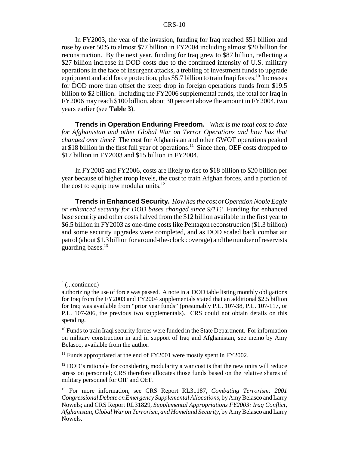In FY2003, the year of the invasion, funding for Iraq reached \$51 billion and rose by over 50% to almost \$77 billion in FY2004 including almost \$20 billion for reconstruction. By the next year, funding for Iraq grew to \$87 billion, reflecting a \$27 billion increase in DOD costs due to the continued intensity of U.S. military operations in the face of insurgent attacks, a trebling of investment funds to upgrade equipment and add force protection, plus \$5.7 billion to train Iraqi forces.<sup>10</sup> Increases for DOD more than offset the steep drop in foreign operations funds from \$19.5 billion to \$2 billion. Including the FY2006 supplemental funds, the total for Iraq in FY2006 may reach \$100 billion, about 30 percent above the amount in FY2004, two years earlier (see **Table 3**).

**Trends in Operation Enduring Freedom.** *What is the total cost to date for Afghanistan and other Global War on Terror Operations and how has that changed over time?* The cost for Afghanistan and other GWOT operations peaked at \$18 billion in the first full year of operations.<sup>11</sup> Since then, OEF costs dropped to \$17 billion in FY2003 and \$15 billion in FY2004.

In FY2005 and FY2006, costs are likely to rise to \$18 billion to \$20 billion per year because of higher troop levels, the cost to train Afghan forces, and a portion of the cost to equip new modular units.<sup>12</sup>

**Trends in Enhanced Security.** *How has the cost of Operation Noble Eagle or enhanced security for DOD bases changed since 9/11?* Funding for enhanced base security and other costs halved from the \$12 billion available in the first year to \$6.5 billion in FY2003 as one-time costs like Pentagon reconstruction (\$1.3 billion) and some security upgrades were completed, and as DOD scaled back combat air patrol (about \$1.3 billion for around-the-clock coverage) and the number of reservists guarding bases. $^{13}$ 

<sup>&</sup>lt;sup>9</sup> (...continued)

authorizing the use of force was passed. A note in a DOD table listing monthly obligations for Iraq from the FY2003 and FY2004 supplementals stated that an additional \$2.5 billion for Iraq was available from "prior year funds" (presumably P.L. 107-38, P.L. 107-117, or P.L. 107-206, the previous two supplementals). CRS could not obtain details on this spending.

<sup>&</sup>lt;sup>10</sup> Funds to train Iraqi security forces were funded in the State Department. For information on military construction in and in support of Iraq and Afghanistan, see memo by Amy Belasco, available from the author.

 $11$  Funds appropriated at the end of FY2001 were mostly spent in FY2002.

 $12$  DOD's rationale for considering modularity a war cost is that the new units will reduce stress on personnel; CRS therefore allocates those funds based on the relative shares of military personnel for OIF and OEF.

<sup>13</sup> For more information, see CRS Report RL31187, *Combating Terrorism: 2001 Congressional Debate on Emergency Supplemental Allocations*, by Amy Belasco and Larry Nowels; and CRS Report RL31829, *Supplemental Appropriations FY2003: Iraq Conflict, Afghanistan, Global War on Terrorism, and Homeland Security*, by Amy Belasco and Larry Nowels.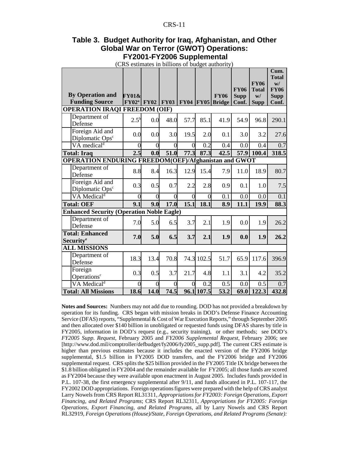#### **Table 3. Budget Authority for Iraq, Afghanistan, and Other Global War on Terror (GWOT) Operations: FY2001-FY2006 Supplemental**

(CRS estimates in billions of budget authority)

|                                                             |                  |                |                |                |                |                    |                   |                             | Cum.<br><b>Total</b> |
|-------------------------------------------------------------|------------------|----------------|----------------|----------------|----------------|--------------------|-------------------|-----------------------------|----------------------|
|                                                             |                  |                |                |                |                |                    | <b>FY06</b>       | <b>FY06</b><br><b>Total</b> | W/<br><b>FY06</b>    |
| <b>By Operation and</b>                                     | <b>FY01&amp;</b> |                |                |                |                | <b>FY06</b>        | <b>Supp</b>       | W/                          | <b>Supp</b>          |
| <b>Funding Source</b>                                       | $\rm FY02^a$     | <b>FY02</b>    | <b>FY03</b>    |                |                | $FY04$ FY05 Bridge | Conf.             | <b>Supp</b>                 | Conf.                |
| <b>OPERATION IRAQI FREEDOM (OIF)</b>                        |                  |                |                |                |                |                    |                   |                             |                      |
| Department of<br>Defense                                    | $2.5^{b}$        | 0.0            | 48.0           | 57.7           | 85.1           | 41.9               | 54.9              | 96.8                        | 290.1                |
| Foreign Aid and<br>Diplomatic Ops <sup>c</sup>              | 0.0              | 0.0            | 3.0            | 19.5           | 2.0            | 0.1                | 3.0               | 3.2                         | 27.6                 |
| VA medical <sup>d</sup>                                     | $\Omega$         | $\overline{0}$ | $\Omega$       | $\theta$       | 0.2            | 0.4                | 0.0               | 0.4                         | 0.7                  |
| <b>Total: Iraq</b>                                          | 2.5              | 0.0            | 51.0           | 77.3           | 87.3           | 42.5               | $\overline{57.9}$ | 100.4                       | 318.5                |
| <b>OPERATION ENDURING FREEDOM(OEF)/Afghanistan and GWOT</b> |                  |                |                |                |                |                    |                   |                             |                      |
| Department of<br>Defense                                    | 8.8              | 8.4            | 16.3           | 12.9           | 15.4           | 7.9                | 11.0              | 18.9                        | 80.7                 |
| Foreign Aid and<br>Diplomatic Ops <sup>c</sup>              | 0.3              | 0.5            | 0.7            | 2.2            | 2.8            | 0.9                | 0.1               | 1.0                         | 7.5                  |
| VA Medical <sup>d</sup>                                     | $\overline{0}$   | $\overline{0}$ | $\overline{0}$ | $\overline{0}$ | $\overline{0}$ | 0.1                | 0.0               | 0.0                         | 0.1                  |
| <b>Total: OEF</b>                                           | 9.1              | 9.0            | 17.0           | 15.1           | 18.1           | 8.9                | 11.1              | 19.9                        | 88.3                 |
| <b>Enhanced Security (Operation Noble Eagle)</b>            |                  |                |                |                |                |                    |                   |                             |                      |
| Department of<br>Defense                                    | 7.0              | 5.0            | 6.5            | 3.7            | 2.1            | 1.9                | 0.0               | 1.9                         | 26.2                 |
| <b>Total: Enhanced</b><br><b>Security<sup>e</sup></b>       | 7.0              | 5.0            | 6.5            | 3.7            | 2.1            | 1.9                | 0.0               | 1.9                         | 26.2                 |
| <b>ALL MISSIONS</b>                                         |                  |                |                |                |                |                    |                   |                             |                      |
| Department of<br>Defense                                    | 18.3             | 13.4           | 70.8           |                | 74.3 102.5     | 51.7               | 65.9              | 117.6                       | 396.9                |
| Foreign<br>Operations <sup>c</sup>                          | 0.3              | 0.5            | 3.7            | 21.7           | 4.8            | 1.1                | 3.1               | 4.2                         | 35.2                 |
| VA Medical <sup>d</sup>                                     | $\Omega$         | $\Omega$       | $\Omega$       | $\Omega$       | 0.2            | 0.5                | 0.0               | 0.5                         | 0.7                  |
| <b>Total: All Missions</b>                                  | 18.6             | 14.0           | 74.5           |                | 96.1 107.5     | 53.2               | 69.0              | $\overline{1}$ 22.3         | 432.8                |

**Notes and Sources:** Numbers may not add due to rounding. DOD has not provided a breakdown by operation for its funding. CRS began with mission breaks in DOD's Defense Finance Accounting Service (DFAS) reports, "Supplemental & Cost of War Execution Reports," through September 2005 and then allocated over \$140 billion in unobligated or requested funds using DFAS shares by title in FY2005, information in DOD's request (e.g., security training), or other methods; see DOD's *FY2005 Supp. Request*, February 2005 and *FY2006 Supplemental Request*, February 2006; see [http://www.dod.mil/comptroller/defbudget/fy2006/fy2005\_supp.pdf]. The current CRS estimate is higher than previous estimates because it includes the enacted version of the FY2006 bridge supplemental, \$1.5 billion in FY2005 DOD transfers, and the FY2006 bridge and FY2006 supplemental request. CRS splits the \$25 billion provided in the FY2005 Title IX bridge between the \$1.8 billion obligated in FY2004 and the remainder available for FY2005; all those funds are scored as FY2004 because they were available upon enactment in August 2005. Includes funds provided in P.L. 107-38, the first emergency supplemental after 9/11, and funds allocated in P.L. 107-117, the FY2002 DOD appropriations. Foreign operations figures were prepared with the help of CRS analyst Larry Nowels from CRS Report RL31311, *Appropriations for FY2003: Foreign Operations, Export Financing, and Related Programs*; CRS Report RL32311, *Appropriations for FY2005: Foreign Operations, Export Financing, and Related Programs,* all by Larry Nowels and CRS Report RL32919, *Foreign Operations (House)/State, Foreign Operations, and Related Programs (Senate):*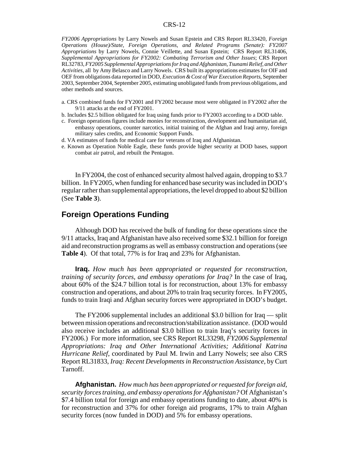*FY2006 Appropriations* by Larry Nowels and Susan Epstein and CRS Report RL33420, *Foreign Operations (House)/State, Foreign Operations, and Related Programs (Senate): FY2007 Appropriations* by Larry Nowels, Connie Veillette, and Susan Epstein; CRS Report RL31406, *Supplemental Appropriations for FY2002: Combating Terrorism and Other Issues*; CRS Report RL32783, *FY2005 Supplemental Appropriations for Iraq and Afghanistan, Tsunami Relief, and Other Activities*, all by Amy Belasco and Larry Nowels. CRS built its appropriations estimates for OIF and OEF from obligations data reported in DOD, *Execution & Cost of War Execution Reports*, September 2003, September 2004, September 2005, estimating unobligated funds from previous obligations, and other methods and sources.

- a. CRS combined funds for FY2001 and FY2002 because most were obligated in FY2002 after the 9/11 attacks at the end of FY2001.
- b. Includes \$2.5 billion obligated for Iraq using funds prior to FY2003 according to a DOD table.
- c. Foreign operations figures include monies for reconstruction, development and humanitarian aid, embassy operations, counter narcotics, initial training of the Afghan and Iraqi army, foreign military sales credits, and Economic Support Funds.
- d. VA estimates of funds for medical care for veterans of Iraq and Afghanistan.
- e. Known as Operation Noble Eagle, these funds provide higher security at DOD bases, support combat air patrol, and rebuilt the Pentagon.

In FY2004, the cost of enhanced security almost halved again, dropping to \$3.7 billion. In FY2005, when funding for enhanced base security was included in DOD's regular rather than supplemental appropriations, the level dropped to about \$2 billion (See **Table 3**).

## **Foreign Operations Funding**

Although DOD has received the bulk of funding for these operations since the 9/11 attacks, Iraq and Afghanistan have also received some \$32.1 billion for foreign aid and reconstruction programs as well as embassy construction and operations (see **Table 4**). Of that total, 77% is for Iraq and 23% for Afghanistan.

**Iraq.** *How much has been appropriated or requested for reconstruction, training of security forces, and embassy operations for Iraq?* In the case of Iraq, about 60% of the \$24.7 billion total is for reconstruction, about 13% for embassy construction and operations, and about 20% to train Iraq security forces. In FY2005, funds to train Iraqi and Afghan security forces were appropriated in DOD's budget.

The FY2006 supplemental includes an additional \$3.0 billion for Iraq — split between mission operations and reconstruction/stabilization assistance. (DOD would also receive includes an additional \$3.0 billion to train Iraq's security forces in FY2006.) For more information, see CRS Report RL33298, *FY2006 Supplemental Appropriations: Iraq and Other International Activities; Additional Katrina Hurricane Relief*, coordinated by Paul M. Irwin and Larry Nowels; see also CRS Report RL31833, *Iraq: Recent Developments in Reconstruction Assistance*, by Curt Tarnoff.

**Afghanistan.** *How much has been appropriated or requested for foreign aid, security forces training, and embassy operations for Afghanistan?* Of Afghanistan's \$7.4 billion total for foreign and embassy operations funding to date, about 40% is for reconstruction and 37% for other foreign aid programs, 17% to train Afghan security forces (now funded in DOD) and 5% for embassy operations.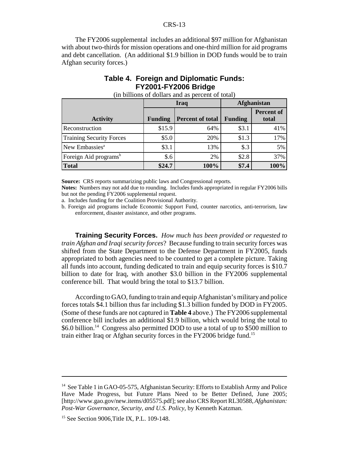The FY2006 supplemental includes an additional \$97 million for Afghanistan with about two-thirds for mission operations and one-third million for aid programs and debt cancellation. (An additional \$1.9 billion in DOD funds would be to train Afghan security forces.)

## **Table 4. Foreign and Diplomatic Funds: FY2001-FY2006 Bridge**

|                                   |                | Iraq                    | Afghanistan    |                            |  |
|-----------------------------------|----------------|-------------------------|----------------|----------------------------|--|
| <b>Activity</b>                   | <b>Funding</b> | <b>Percent of total</b> | <b>Funding</b> | <b>Percent of</b><br>total |  |
| Reconstruction                    | \$15.9         | 64%                     | \$3.1          | 41%                        |  |
| <b>Training Security Forces</b>   | \$5.0          | 20%                     | \$1.3          | 17%                        |  |
| New Embassies <sup>a</sup>        | \$3.1          | 13%                     | $\text{\$}.3$  | 5%                         |  |
| Foreign Aid programs <sup>b</sup> | \$.6           | 2%                      | \$2.8          | 37%                        |  |
| <b>Total</b>                      | \$24.7         | 100%                    | \$7.4          | 100%                       |  |

(in billions of dollars and as percent of total)

**Source:** CRS reports summarizing public laws and Congressional reports.

**Notes:** Numbers may not add due to rounding. Includes funds appropriated in regular FY2006 bills but not the pending FY2006 supplemental request.

a. Includes funding for the Coalition Provisional Authority.

b. Foreign aid programs include Economic Support Fund, counter narcotics, anti-terrorism, law enforcement, disaster assistance, and other programs.

**Training Security Forces.** *How much has been provided or requested to train Afghan and Iraqi security forces*? Because funding to train security forces was shifted from the State Department to the Defense Department in FY2005, funds appropriated to both agencies need to be counted to get a complete picture. Taking all funds into account, funding dedicated to train and equip security forces is \$10.7 billion to date for Iraq, with another \$3.0 billion in the FY2006 supplemental conference bill. That would bring the total to \$13.7 billion.

According to GAO, funding to train and equip Afghanistan's military and police forces totals \$4.1 billion thus far including \$1.3 billion funded by DOD in FY2005. (Some of these funds are not captured in **Table 4** above.) The FY2006 supplemental conference bill includes an additional \$1.9 billion, which would bring the total to \$6.0 billion.<sup>14</sup> Congress also permitted DOD to use a total of up to \$500 million to train either Iraq or Afghan security forces in the FY2006 bridge fund.15

<sup>&</sup>lt;sup>14</sup> See Table 1 in GAO-05-575, Afghanistan Security: Efforts to Establish Army and Police Have Made Progress, but Future Plans Need to be Better Defined, June 2005; [http://www.gao.gov/new.items/d05575.pdf]; see also CRS Report RL30588, *Afghanistan: Post-War Governance, Security, and U.S. Policy*, by Kenneth Katzman.

<sup>&</sup>lt;sup>15</sup> See Section 9006, Title IX, P.L. 109-148.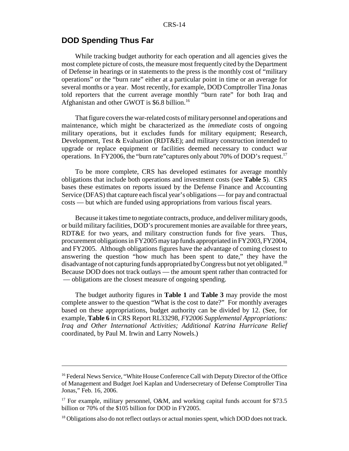## **DOD Spending Thus Far**

While tracking budget authority for each operation and all agencies gives the most complete picture of costs, the measure most frequently cited by the Department of Defense in hearings or in statements to the press is the monthly cost of "military operations" or the "burn rate" either at a particular point in time or an average for several months or a year. Most recently, for example, DOD Comptroller Tina Jonas told reporters that the current average monthly "burn rate" for both Iraq and Afghanistan and other GWOT is \$6.8 billion.<sup>16</sup>

That figure covers the war-related costs of military personnel and operations and maintenance, which might be characterized as the *immediate* costs of ongoing military operations, but it excludes funds for military equipment; Research, Development, Test & Evaluation (RDT&E); and military construction intended to upgrade or replace equipment or facilities deemed necessary to conduct war operations. In FY2006, the "burn rate" captures only about 70% of DOD's request.<sup>17</sup>

To be more complete, CRS has developed estimates for average monthly obligations that include both operations and investment costs (see **Table 5**). CRS bases these estimates on reports issued by the Defense Finance and Accounting Service (DFAS) that capture each fiscal year's obligations — for pay and contractual costs — but which are funded using appropriations from various fiscal years.

Because it takes time to negotiate contracts, produce, and deliver military goods, or build military facilities, DOD's procurement monies are available for three years, RDT&E for two years, and military construction funds for five years. Thus, procurement obligations in FY2005 may tap funds appropriated in FY2003, FY2004, and FY2005. Although obligations figures have the advantage of coming closest to answering the question "how much has been spent to date," they have the disadvantage of not capturing funds appropriated by Congress but not yet obligated.<sup>18</sup> Because DOD does not track outlays — the amount spent rather than contracted for — obligations are the closest measure of ongoing spending.

The budget authority figures in **Table 1** and **Table 3** may provide the most complete answer to the question "What is the cost to date?" For monthly averages based on these appropriations, budget authority can be divided by 12. (See, for example, **Table 6** in CRS Report RL33298, *FY2006 Supplemental Appropriations: Iraq and Other International Activities; Additional Katrina Hurricane Relief* coordinated, by Paul M. Irwin and Larry Nowels.)

<sup>&</sup>lt;sup>16</sup> Federal News Service, "White House Conference Call with Deputy Director of the Office of Management and Budget Joel Kaplan and Undersecretary of Defense Comptroller Tina Jonas," Feb. 16, 2006.

<sup>&</sup>lt;sup>17</sup> For example, military personnel, O&M, and working capital funds account for \$73.5 billion or 70% of the \$105 billion for DOD in FY2005.

<sup>&</sup>lt;sup>18</sup> Obligations also do not reflect outlays or actual monies spent, which DOD does not track.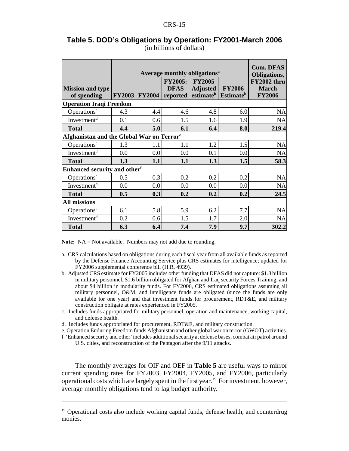|                                                       |               | Average monthly obligations <sup>a</sup> |                                           |                                  |                                                              |                                                              |  |  |
|-------------------------------------------------------|---------------|------------------------------------------|-------------------------------------------|----------------------------------|--------------------------------------------------------------|--------------------------------------------------------------|--|--|
| <b>Mission and type</b><br>of spending                | <b>FY2003</b> | <b>FY2004</b>                            | <b>FY2005:</b><br><b>DFAS</b><br>reported | <b>FY2005</b><br><b>Adjusted</b> | <b>FY2006</b><br>estimate <sup>b</sup> Estimate <sup>b</sup> | Obligations,<br>FY2002 thru<br><b>March</b><br><b>FY2006</b> |  |  |
| <b>Operation Iraqi Freedom</b>                        |               |                                          |                                           |                                  |                                                              |                                                              |  |  |
| Operations <sup>c</sup>                               | 4.3           | 4.4                                      | 4.6                                       | 4.8                              | 6.0                                                          | <b>NA</b>                                                    |  |  |
| Investment <sup>d</sup>                               | 0.1           | 0.6                                      | 1.5                                       | 1.6                              | 1.9                                                          | <b>NA</b>                                                    |  |  |
| <b>Total</b>                                          | 4.4           | 5.0                                      | 6.1                                       | 6.4                              | 8.0                                                          | 219.4                                                        |  |  |
| Afghanistan and the Global War on Terror <sup>e</sup> |               |                                          |                                           |                                  |                                                              |                                                              |  |  |
| Operations <sup>c</sup>                               | 1.3           | 1.1                                      | 1.1                                       | 1.2                              | 1.5                                                          | <b>NA</b>                                                    |  |  |
| Investment <sup>d</sup>                               | 0.0           | 0.0                                      | 0.0                                       | 0.1                              | 0.0                                                          | <b>NA</b>                                                    |  |  |
| <b>Total</b>                                          | 1.3           | 1.1                                      | 1.1                                       | 1.3                              | 1.5                                                          | 58.3                                                         |  |  |
| Enhanced security and other <sup>f</sup>              |               |                                          |                                           |                                  |                                                              |                                                              |  |  |
| Operations <sup>c</sup>                               | 0.5           | 0.3                                      | 0.2                                       | 0.2                              | 0.2                                                          | <b>NA</b>                                                    |  |  |
| Investment <sup>d</sup>                               | 0.0           | 0.0                                      | $0.0\,$                                   | 0.0                              | 0.0                                                          | <b>NA</b>                                                    |  |  |
| <b>Total</b>                                          | 0.5           | 0.3                                      | 0.2                                       | 0.2                              | 0.2                                                          | 24.5                                                         |  |  |
| <b>All missions</b>                                   |               |                                          |                                           |                                  |                                                              |                                                              |  |  |
| Operations <sup>c</sup>                               | 6.1           | 5.8                                      | 5.9                                       | 6.2                              | 7.7                                                          | <b>NA</b>                                                    |  |  |
| Investment <sup>d</sup>                               | 0.2           | 0.6                                      | 1.5                                       | 1.7                              | 2.0                                                          | <b>NA</b>                                                    |  |  |
| <b>Total</b>                                          | 6.3           | 6.4                                      | 7.4                                       | 7.9                              | 9.7                                                          | 302.2                                                        |  |  |

#### **Table 5. DOD's Obligations by Operation: FY2001-March 2006** (in billions of dollars)

**Note:** NA = Not available. Numbers may not add due to rounding.

- a. CRS calculations based on obligations during each fiscal year from all available funds as reported by the Defense Finance Accounting Service plus CRS estimates for intelligence; updated for FY2006 supplemental conference bill (H.R. 4939).
- b. Adjusted CRS estimate for FY2005 includes other funding that DFAS did not capture: \$1.8 billion in military personnel, \$1.6 billion obligated for Afghan and Iraq security Forces Training, and about \$4 billion in modularity funds. For FY2006, CRS estimated obligations assuming all military personnel, O&M, and intelligence funds are obligated (since the funds are only available for one year) and that investment funds for procurement, RDT&E, and military construction obligate at rates experienced in FY2005.
- c. Includes funds appropriated for military personnel, operation and maintenance, working capital, and defense health.
- d. Includes funds appropriated for procurement, RDT&E, and military construction.
- e. Operation Enduring Freedom funds Afghanistan and other global war on terror (GWOT) activities.
- f. 'Enhanced security and other' includes additional security at defense bases, combat air patrol around U.S. cities, and reconstruction of the Pentagon after the 9/11 attacks.

The monthly averages for OIF and OEF in **Table 5** are useful ways to mirror current spending rates for FY2003, FY2004, FY2005, and FY2006, particularly operational costs which are largely spent in the first year.<sup>19</sup> For investment, however, average monthly obligations tend to lag budget authority.

 $19$  Operational costs also include working capital funds, defense health, and counterdrug monies.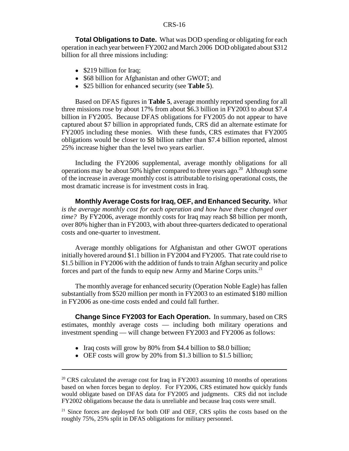**Total Obligations to Date.** What was DOD spending or obligating for each operation in each year between FY2002 and March 2006 DOD obligated about \$312 billion for all three missions including:

- \$219 billion for Iraq;
- \$68 billion for Afghanistan and other GWOT; and
- ! \$25 billion for enhanced security (see **Table 5**).

Based on DFAS figures in **Table 5**, average monthly reported spending for all three missions rose by about 17% from about \$6.3 billion in FY2003 to about \$7.4 billion in FY2005. Because DFAS obligations for FY2005 do not appear to have captured about \$7 billion in appropriated funds, CRS did an alternate estimate for FY2005 including these monies. With these funds, CRS estimates that FY2005 obligations would be closer to \$8 billion rather than \$7.4 billion reported, almost 25% increase higher than the level two years earlier.

Including the FY2006 supplemental, average monthly obligations for all operations may be about 50% higher compared to three years ago.<sup>20</sup> Although some of the increase in average monthly cost is attributable to rising operational costs, the most dramatic increase is for investment costs in Iraq.

**Monthly Average Costs for Iraq, OEF, and Enhanced Security.** *What is the average monthly cost for each operation and how have these changed over time?* By FY2006, average monthly costs for Iraq may reach \$8 billion per month, over 80% higher than in FY2003, with about three-quarters dedicated to operational costs and one-quarter to investment.

Average monthly obligations for Afghanistan and other GWOT operations initially hovered around \$1.1 billion in FY2004 and FY2005. That rate could rise to \$1.5 billion in FY2006 with the addition of funds to train Afghan security and police forces and part of the funds to equip new Army and Marine Corps units.<sup>21</sup>

The monthly average for enhanced security (Operation Noble Eagle) has fallen substantially from \$520 million per month in FY2003 to an estimated \$180 million in FY2006 as one-time costs ended and could fall further.

**Change Since FY2003 for Each Operation.** In summary, based on CRS estimates, monthly average costs — including both military operations and investment spending — will change between FY2003 and FY2006 as follows:

- Iraq costs will grow by 80% from \$4.4 billion to \$8.0 billion;
- OEF costs will grow by 20% from \$1.3 billion to \$1.5 billion;

 $20$  CRS calculated the average cost for Iraq in FY2003 assuming 10 months of operations based on when forces began to deploy. For FY2006, CRS estimated how quickly funds would obligate based on DFAS data for FY2005 and judgments. CRS did not include FY2002 obligations because the data is unreliable and because Iraq costs were small.

<sup>&</sup>lt;sup>21</sup> Since forces are deployed for both OIF and OEF, CRS splits the costs based on the roughly 75%, 25% split in DFAS obligations for military personnel.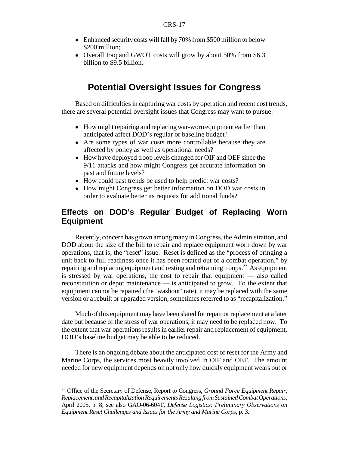- Enhanced security costs will fall by 70% from \$500 million to below \$200 million;
- Overall Iraq and GWOT costs will grow by about 50% from \$6.3 billion to \$9.5 billion.

## **Potential Oversight Issues for Congress**

Based on difficulties in capturing war costs by operation and recent cost trends, there are several potential oversight issues that Congress may want to pursue:

- How might repairing and replacing war-worn equipment earlier than anticipated affect DOD's regular or baseline budget?
- Are some types of war costs more controllable because they are affected by policy as well as operational needs?
- How have deployed troop levels changed for OIF and OEF since the 9/11 attacks and how might Congress get accurate information on past and future levels?
- ! How could past trends be used to help predict war costs?
- How might Congress get better information on DOD war costs in order to evaluate better its requests for additional funds?

## **Effects on DOD's Regular Budget of Replacing Worn Equipment**

Recently, concern has grown among many in Congress, the Administration, and DOD about the size of the bill to repair and replace equipment worn down by war operations, that is, the "reset" issue. Reset is defined as the "process of bringing a unit back to full readiness once it has been rotated out of a combat operation," by repairing and replacing equipment and resting and retraining troops.<sup>22</sup> As equipment is stressed by war operations, the cost to repair that equipment — also called reconstitution or depot maintenance — is anticipated to grow. To the extent that equipment cannot be repaired (the 'washout' rate), it may be replaced with the same version or a rebuilt or upgraded version, sometimes referred to as "recapitalization."

Much of this equipment may have been slated for repair or replacement at a later date but because of the stress of war operations, it may need to be replaced now. To the extent that war operations results in earlier repair and replacement of equipment, DOD's baseline budget may be able to be reduced.

There is an ongoing debate about the anticipated cost of reset for the Army and Marine Corps, the services most heavily involved in OIF and OEF. The amount needed for new equipment depends on not only how quickly equipment wears out or

<sup>22</sup> Office of the Secretary of Defense, Report to Congress, *Ground Force Equipment Repair, Replacement, and Recapitalization Requirements Resulting from Sustained Combat Operations*, April 2005, p. 8; see also GAO-06-604T, *Defense Logistics: Preliminary Observations on Equipment Reset Challenges and Issues for the Army and Marine Corps*, p. 3.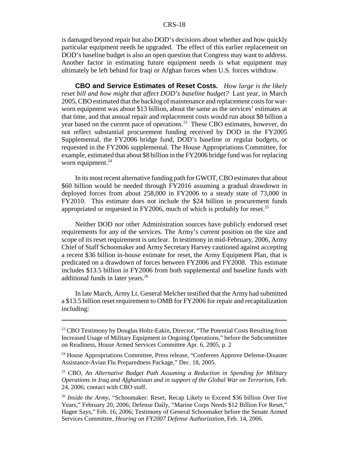is damaged beyond repair but also DOD's decisions about whether and how quickly particular equipment needs be upgraded. The effect of this earlier replacement on DOD's baseline budget is also an open question that Congress may want to address. Another factor in estimating future equipment needs is what equipment may ultimately be left behind for Iraqi or Afghan forces when U.S. forces withdraw.

**CBO and Service Estimates of Reset Costs***. How large is the likely reset bill and how might that affect DOD's baseline budget?* Last year, in March 2005, CBO estimated that the backlog of maintenance and replacement costs for warworn equipment was about \$13 billion, about the same as the services' estimates at that time, and that annual repair and replacement costs would run about \$8 billion a year based on the current pace of operations.23 These CBO estimates, however, do not reflect substantial procurement funding received by DOD in the FY2005 Supplemental, the FY2006 bridge fund, DOD's baseline or regular budgets, or requested in the FY2006 supplemental. The House Appropriations Committee, for example, estimated that about \$8 billion in the FY2006 bridge fund was for replacing worn equipment. $^{24}$ 

In its most recent alternative funding path for GWOT, CBO estimates that about \$60 billion would be needed through FY2016 assuming a gradual drawdown in deployed forces from about 258,000 in FY2006 to a steady state of 73,000 in FY2010. This estimate does not include the \$24 billion in procurement funds appropriated or requested in FY2006, much of which is probably for reset.<sup>25</sup>

Neither DOD nor other Administration sources have publicly endorsed reset requirements for any of the services. The Army's current position on the size and scope of its reset requirement is unclear. In testimony in mid-February, 2006, Army Chief of Staff Schoomaker and Army Secretary Harvey cautioned against accepting a recent \$36 billion in-house estimate for reset, the Army Equipment Plan, that is predicated on a drawdown of forces between FY2006 and FY2008. This estimate includes \$13.5 billion in FY2006 from both supplemental and baseline funds with additional funds in later years.<sup>26</sup>

In late March, Army Lt. General Melcher testified that the Army had submitted a \$13.5 billion reset requirement to OMB for FY2006 for repair and recapitalization including:

<sup>&</sup>lt;sup>23</sup> CBO Testimony by Douglas Holtz-Eakin, Director, "The Potential Costs Resulting from Increased Usage of Military Equipment in Ongoing Operations," before the Subcommittee on Readiness, House Armed Services Committee Apr. 6, 2005, p. 2

<sup>&</sup>lt;sup>24</sup> House Appropriations Committee, Press release, "Conferees Approve Defense-Disaster Assistance-Avian Flu Preparedness Package," Dec. 18, 2005.

<sup>25</sup> CBO, *An Alternative Budget Path Assuming a Reduction in Spending for Military Operations in Iraq and Afghanistan and in support of the Global War on Terrorism*, Feb. 24, 2006; contact with CBO staff.

<sup>&</sup>lt;sup>26</sup> *Inside the Army*, "Schoomaker: Reset, Recap Likely to Exceed \$36 billion Over five Years," February 20, 2006; Defense Daily, "Marine Corps Needs \$12 Billion For Reset," Hagee Says," Feb. 16, 2006; Testimony of General Schoomaker before the Senate Armed Services Committee, *Hearing on FY2007 Defense Authorization*, Feb. 14, 2006.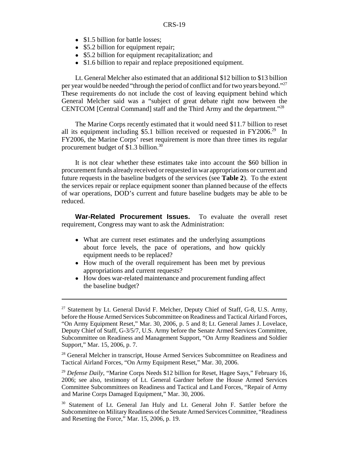- \$1.5 billion for battle losses:
- \$5.2 billion for equipment repair;
- \$5.2 billion for equipment recapitalization; and
- \$1.6 billion to repair and replace prepositioned equipment.

Lt. General Melcher also estimated that an additional \$12 billion to \$13 billion per year would be needed "through the period of conflict and for two years beyond."<sup>27</sup> These requirements do not include the cost of leaving equipment behind which General Melcher said was a "subject of great debate right now between the CENTCOM [Central Command] staff and the Third Army and the department."28

The Marine Corps recently estimated that it would need \$11.7 billion to reset all its equipment including \$5.1 billion received or requested in  $FY2006<sup>29</sup>$  In FY2006, the Marine Corps' reset requirement is more than three times its regular procurement budget of \$1.3 billion.30

It is not clear whether these estimates take into account the \$60 billion in procurement funds already received or requested in war appropriations or current and future requests in the baseline budgets of the services (see **Table 2**). To the extent the services repair or replace equipment sooner than planned because of the effects of war operations, DOD's current and future baseline budgets may be able to be reduced.

**War-Related Procurement Issues.** To evaluate the overall reset requirement, Congress may want to ask the Administration:

- What are current reset estimates and the underlying assumptions about force levels, the pace of operations, and how quickly equipment needs to be replaced?
- How much of the overall requirement has been met by previous appropriations and current requests?
- ! How does war-related maintenance and procurement funding affect the baseline budget?

 $27$  Statement by Lt. General David F. Melcher, Deputy Chief of Staff, G-8, U.S. Army, before the House Armed Services Subcommittee on Readiness and Tactical Airland Forces, "On Army Equipment Reset," Mar. 30, 2006, p. 5 and 8; Lt. General James J. Lovelace, Deputy Chief of Staff, G-3/5/7, U.S. Army before the Senate Armed Services Committee, Subcommittee on Readiness and Management Support, "On Army Readiness and Soldier Support," Mar. 15, 2006, p. 7.

<sup>&</sup>lt;sup>28</sup> General Melcher in transcript, House Armed Services Subcommittee on Readiness and Tactical Airland Forces, "On Army Equipment Reset," Mar. 30, 2006.

<sup>&</sup>lt;sup>29</sup> *Defense Daily*, "Marine Corps Needs \$12 billion for Reset, Hagee Says," February 16, 2006; see also, testimony of Lt. General Gardner before the House Armed Services Committee Subcommittees on Readiness and Tactical and Land Forces, "Repair of Army and Marine Corps Damaged Equipment," Mar. 30, 2006.

<sup>&</sup>lt;sup>30</sup> Statement of Lt. General Jan Huly and Lt. General John F. Sattler before the Subcommittee on Military Readiness of the Senate Armed Services Committee, "Readiness and Resetting the Force," Mar. 15, 2006, p. 19.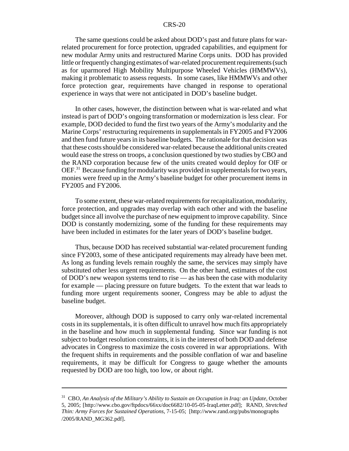The same questions could be asked about DOD's past and future plans for warrelated procurement for force protection, upgraded capabilities, and equipment for new modular Army units and restructured Marine Corps units. DOD has provided little or frequently changing estimates of war-related procurement requirements (such as for uparmored High Mobility Multipurpose Wheeled Vehicles (HMMWVs), making it problematic to assess requests. In some cases, like HMMWVs and other force protection gear, requirements have changed in response to operational experience in ways that were not anticipated in DOD's baseline budget.

In other cases, however, the distinction between what is war-related and what instead is part of DOD's ongoing transformation or modernization is less clear. For example, DOD decided to fund the first two years of the Army's modularity and the Marine Corps' restructuring requirements in supplementals in FY2005 and FY2006 and then fund future years in its baseline budgets. The rationale for that decision was that these costs should be considered war-related because the additional units created would ease the stress on troops, a conclusion questioned by two studies by CBO and the RAND corporation because few of the units created would deploy for OIF or OEF.31 Because funding for modularity was provided in supplementals for two years, monies were freed up in the Army's baseline budget for other procurement items in FY2005 and FY2006.

To some extent, these war-related requirements for recapitalization, modularity, force protection, and upgrades may overlap with each other and with the baseline budget since all involve the purchase of new equipment to improve capability. Since DOD is constantly modernizing, some of the funding for these requirements may have been included in estimates for the later years of DOD's baseline budget.

Thus, because DOD has received substantial war-related procurement funding since FY2003, some of these anticipated requirements may already have been met. As long as funding levels remain roughly the same, the services may simply have substituted other less urgent requirements. On the other hand, estimates of the cost of DOD's new weapon systems tend to rise — as has been the case with modularity for example — placing pressure on future budgets. To the extent that war leads to funding more urgent requirements sooner, Congress may be able to adjust the baseline budget.

Moreover, although DOD is supposed to carry only war-related incremental costs in its supplementals, it is often difficult to unravel how much fits appropriately in the baseline and how much in supplemental funding. Since war funding is not subject to budget resolution constraints, it is in the interest of both DOD and defense advocates in Congress to maximize the costs covered in war appropriations. With the frequent shifts in requirements and the possible conflation of war and baseline requirements, it may be difficult for Congress to gauge whether the amounts requested by DOD are too high, too low, or about right.

<sup>31</sup> CBO, *An Analysis of the Military's Ability to Sustain an Occupation in Iraq: an Update*, October 5, 2005; [http://www.cbo.gov/ftpdocs/66xx/doc6682/10-05-05-IraqLetter.pdf]; RAND, *Stretched Thin: Army Forces for Sustained Operations*, 7-15-05; [http://www.rand.org/pubs/monographs /2005/RAND\_MG362.pdf].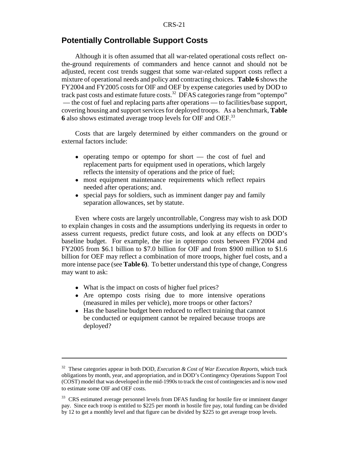### **Potentially Controllable Support Costs**

Although it is often assumed that all war-related operational costs reflect onthe-ground requirements of commanders and hence cannot and should not be adjusted, recent cost trends suggest that some war-related support costs reflect a mixture of operational needs and policy and contracting choices. **Table 6** shows the FY2004 and FY2005 costs for OIF and OEF by expense categories used by DOD to track past costs and estimate future costs.<sup>32</sup> DFAS categories range from "optempo" — the cost of fuel and replacing parts after operations — to facilities/base support, covering housing and support services for deployed troops. As a benchmark, **Table 6** also shows estimated average troop levels for OIF and OEF.33

Costs that are largely determined by either commanders on the ground or external factors include:

- operating tempo or optempo for short the cost of fuel and replacement parts for equipment used in operations, which largely reflects the intensity of operations and the price of fuel;
- most equipment maintenance requirements which reflect repairs needed after operations; and.
- special pays for soldiers, such as imminent danger pay and family separation allowances, set by statute.

Even where costs are largely uncontrollable, Congress may wish to ask DOD to explain changes in costs and the assumptions underlying its requests in order to assess current requests, predict future costs, and look at any effects on DOD's baseline budget. For example, the rise in optempo costs between FY2004 and FY2005 from \$6.1 billion to \$7.0 billion for OIF and from \$900 million to \$1.6 billion for OEF may reflect a combination of more troops, higher fuel costs, and a more intense pace (see **Table 6)**. To better understand this type of change, Congress may want to ask:

- What is the impact on costs of higher fuel prices?
- ! Are optempo costs rising due to more intensive operations (measured in miles per vehicle), more troops or other factors?
- ! Has the baseline budget been reduced to reflect training that cannot be conducted or equipment cannot be repaired because troops are deployed?

<sup>32</sup> These categories appear in both DOD, *Execution & Cost of War Execution Reports*, which track obligations by month, year, and appropriation, and in DOD's Contingency Operations Support Tool (COST) model that was developed in the mid-1990s to track the cost of contingencies and is now used to estimate some OIF and OEF costs.

<sup>&</sup>lt;sup>33</sup> CRS estimated average personnel levels from DFAS funding for hostile fire or imminent danger pay. Since each troop is entitled to \$225 per month in hostile fire pay, total funding can be divided by 12 to get a monthly level and that figure can be divided by \$225 to get average troop levels.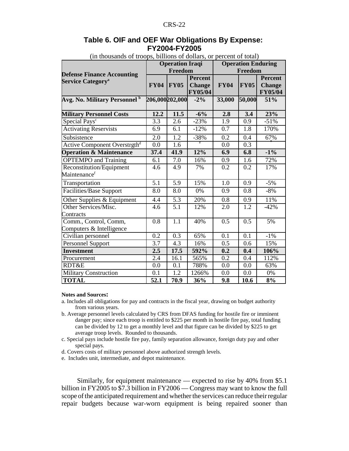## **Table 6. OIF and OEF War Obligations By Expense: FY2004-FY2005**

| In unusanus of troops, billions of domars, or percent of total)          |                   | <b>Operation Iraqi</b> |                                                   |                  |                  | <b>Operation Enduring</b>                  |  |
|--------------------------------------------------------------------------|-------------------|------------------------|---------------------------------------------------|------------------|------------------|--------------------------------------------|--|
|                                                                          |                   | Freedom                |                                                   | Freedom          |                  |                                            |  |
| <b>Defense Finance Accounting</b><br><b>Service Category<sup>a</sup></b> | <b>FY04</b>       | <b>FY05</b>            | <b>Percent</b><br><b>Change</b><br><b>FY05/04</b> | <b>FY04</b>      | <b>FY05</b>      | Percent<br><b>Change</b><br><b>FY05/04</b> |  |
| Avg. No. Military Personnel <sup>b</sup>                                 | 206,000202,000    |                        | $-2\%$                                            | 33,000           | 50,000           | 51%                                        |  |
| <b>Military Personnel Costs</b>                                          | 12.2              | 11.5                   | $-6%$                                             | 2.8              | $\overline{3.4}$ | 23%                                        |  |
| Special Pays <sup>c</sup>                                                | 3.3               | 2.6                    | $-23%$                                            | 1.9              | 0.9              | $-51%$                                     |  |
| <b>Activating Reservists</b>                                             | 6.9               | 6.1                    | $-12%$                                            | 0.7              | 1.8              | 170%                                       |  |
| Subsistence                                                              | 2.0               | 1.2                    | $-38%$                                            | 0.2              | 0.4              | 67%                                        |  |
| Active Component Overstrgth <sup>d</sup>                                 | 0.0               | $\overline{1.6}$       |                                                   | 0.0              | 0.3              |                                            |  |
| <b>Operation &amp; Maintenance</b>                                       | 37.4              | 41.9                   | 12%                                               | 6.9              | 6.8              | $-1\%$                                     |  |
| <b>OPTEMPO</b> and Training                                              | 6.1               | 7.0                    | 16%                                               | 0.9              | 1.6              | 72%                                        |  |
| Reconstitution/Equipment<br>Maintenance <sup>f</sup>                     | 4.6               | 4.9                    | 7%                                                | 0.2              | 0.2              | 17%                                        |  |
| Transportation                                                           | 5.1               | 5.9                    | 15%                                               | 1.0              | 0.9              | $-5%$                                      |  |
| <b>Facilities/Base Support</b>                                           | 8.0               | 8.0                    | 0%                                                | 0.9              | 0.8              | $-8%$                                      |  |
| Other Supplies & Equipment                                               | $\overline{4.4}$  | $\overline{5.3}$       | 20%                                               | $\overline{0.8}$ | $\overline{0.9}$ | 11%                                        |  |
| Other Services/Misc.<br>Contracts                                        | 4.6               | 5.1                    | 12%                                               | 2.0              | 1.2              | $-42%$                                     |  |
| Comm., Control, Comm,<br>Computers & Intelligence                        | 0.8               | 1.1                    | 40%                                               | 0.5              | 0.5              | 5%                                         |  |
| Civilian personnel                                                       | 0.2               | 0.3                    | 65%                                               | 0.1              | 0.1              | $-1\%$                                     |  |
| Personnel Support                                                        | 3.7               | 4.3                    | 16%                                               | 0.5              | 0.6              | 15%                                        |  |
| <b>Investment</b>                                                        | 2.5               | 17.5                   | 592%                                              | 0.2              | 0.4              | 106%                                       |  |
| Procurement                                                              | 2.4               | 16.1                   | 565%                                              | 0.2              | 0.4              | 112%                                       |  |
| <b>RDT&amp;E</b>                                                         | 0.0               | 0.1                    | 788%                                              | 0.0              | 0.0              | 63%                                        |  |
| <b>Military Construction</b>                                             | 0.1               | 1.2                    | 1266%                                             | 0.0              | 0.0              | 0%                                         |  |
| <b>TOTAL</b>                                                             | $\overline{52.1}$ | 70.9                   | 36%                                               | 9.8              | 10.6             | $8\%$                                      |  |

(in thousands of troops, billions of dollars, or percent of total)

#### **Notes and Sources:**

- a. Includes all obligations for pay and contracts in the fiscal year, drawing on budget authority from various years.
- b. Average personnel levels calculated by CRS from DFAS funding for hostile fire or imminent danger pay; since each troop is entitled to \$225 per month in hostile fire pay, total funding can be divided by 12 to get a monthly level and that figure can be divided by \$225 to get average troop levels. Rounded to thousands.
- c. Special pays include hostile fire pay, family separation allowance, foreign duty pay and other special pays.
- d. Covers costs of military personnel above authorized strength levels.
- e. Includes unit, intermediate, and depot maintenance.

 Similarly, for equipment maintenance — expected to rise by 40% from \$5.1 billion in FY2005 to \$7.3 billion in FY2006 — Congress may want to know the full scope of the anticipated requirement and whether the services can reduce their regular repair budgets because war-worn equipment is being repaired sooner than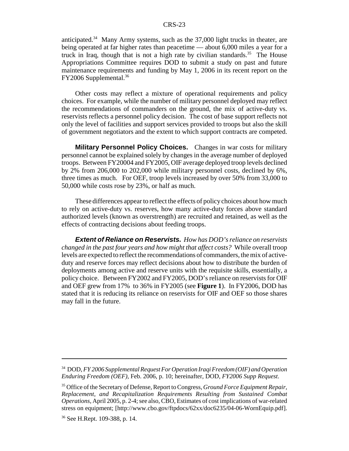anticipated.<sup>34</sup> Many Army systems, such as the  $37,000$  light trucks in theater, are being operated at far higher rates than peacetime — about 6,000 miles a year for a truck in Iraq, though that is not a high rate by civilian standards.<sup>35</sup> The House Appropriations Committee requires DOD to submit a study on past and future maintenance requirements and funding by May 1, 2006 in its recent report on the FY2006 Supplemental.36

Other costs may reflect a mixture of operational requirements and policy choices. For example, while the number of military personnel deployed may reflect the recommendations of commanders on the ground, the mix of active-duty vs. reservists reflects a personnel policy decision. The cost of base support reflects not only the level of facilities and support services provided to troops but also the skill of government negotiators and the extent to which support contracts are competed.

**Military Personnel Policy Choices.** Changes in war costs for military personnel cannot be explained solely by changes in the average number of deployed troops. Between FY20004 and FY2005, OIF average deployed troop levels declined by 2% from 206,000 to 202,000 while military personnel costs, declined by 6%, three times as much. For OEF, troop levels increased by over 50% from 33,000 to 50,000 while costs rose by 23%, or half as much.

These differences appear to reflect the effects of policy choices about how much to rely on active-duty vs. reserves, how many active-duty forces above standard authorized levels (known as overstrength) are recruited and retained, as well as the effects of contracting decisions about feeding troops.

*Extent of Reliance on Reservists. How has DOD's reliance on reservists changed in the past four years and how might that affect costs?* While overall troop levels are expected to reflect the recommendations of commanders, the mix of activeduty and reserve forces may reflect decisions about how to distribute the burden of deployments among active and reserve units with the requisite skills, essentially, a policy choice. Between FY2002 and FY2005, DOD's reliance on reservists for OIF and OEF grew from 17% to 36% in FY2005 (see **Figure 1**). In FY2006, DOD has stated that it is reducing its reliance on reservists for OIF and OEF so those shares may fall in the future.

<sup>34</sup> DOD, *FY 2006 Supplemental Request For Operation Iraqi Freedom (OIF) and Operation Enduring Freedom (OEF)*, Feb. 2006, p. 10; hereinafter, DOD, *FY2006 Supp Request*.

<sup>35</sup> Office of the Secretary of Defense, Report to Congress, *Ground Force Equipment Repair, Replacement, and Recapitalization Requirements Resulting from Sustained Combat Operations*, April 2005, p. 2-4; see also, CBO, Estimates of cost implications of war-related stress on equipment; [http://www.cbo.gov/ftpdocs/62xx/doc6235/04-06-WornEquip.pdf].

<sup>36</sup> See H.Rept. 109-388, p. 14.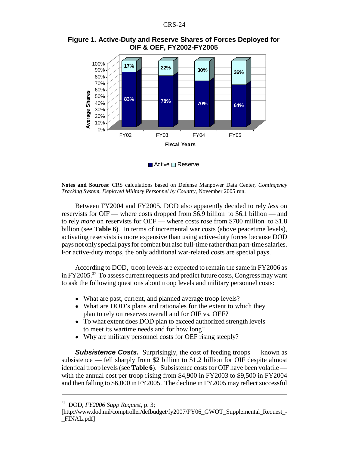

#### **Figure 1. Active-Duty and Reserve Shares of Forces Deployed for OIF & OEF, FY2002-FY2005**

 $\blacksquare$  Active  $\square$  Reserve

**Notes and Sources**: CRS calculations based on Defense Manpower Data Center, *Contingency Tracking System, Deployed Military Personnel by Country*, November 2005 run.

Between FY2004 and FY2005, DOD also apparently decided to rely *less* on reservists for OIF — where costs dropped from \$6.9 billion to \$6.1 billion — and to rely *more* on reservists for OEF — where costs rose from \$700 million to \$1.8 billion (see **Table 6**). In terms of incremental war costs (above peacetime levels), activating reservists is more expensive than using active-duty forces because DOD pays not only special pays for combat but also full-time rather than part-time salaries. For active-duty troops, the only additional war-related costs are special pays.

According to DOD, troop levels are expected to remain the same in FY2006 as in FY2005.<sup>37</sup> To assess current requests and predict future costs, Congress may want to ask the following questions about troop levels and military personnel costs:

- What are past, current, and planned average troop levels?
- What are DOD's plans and rationales for the extent to which they plan to rely on reserves overall and for OIF vs. OEF?
- To what extent does DOD plan to exceed authorized strength levels to meet its wartime needs and for how long?
- ! Why are military personnel costs for OEF rising steeply?

**Subsistence Costs.** Surprisingly, the cost of feeding troops — known as subsistence — fell sharply from \$2 billion to \$1.2 billion for OIF despite almost identical troop levels (see **Table 6**). Subsistence costs for OIF have been volatile with the annual cost per troop rising from \$4,900 in FY2003 to \$9,500 in FY2004 and then falling to \$6,000 in FY2005. The decline in FY2005 may reflect successful

<sup>37</sup> DOD, *FY2006 Supp Request*, p. 3;

<sup>[</sup>http://www.dod.mil/comptroller/defbudget/fy2007/FY06\_GWOT\_Supplemental\_Request\_-\_FINAL.pdf]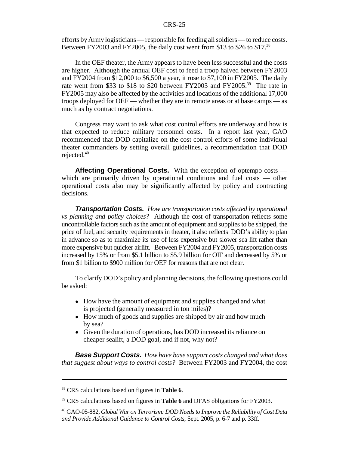efforts by Army logisticians — responsible for feeding all soldiers — to reduce costs. Between FY2003 and FY2005, the daily cost went from \$13 to \$26 to \$17.<sup>38</sup>

In the OEF theater, the Army appears to have been less successful and the costs are higher. Although the annual OEF cost to feed a troop halved between FY2003 and FY2004 from \$12,000 to \$6,500 a year, it rose to \$7,100 in FY2005. The daily rate went from \$33 to \$18 to \$20 between FY2003 and FY2005.<sup>39</sup> The rate in FY2005 may also be affected by the activities and locations of the additional 17,000 troops deployed for OEF — whether they are in remote areas or at base camps — as much as by contract negotiations.

Congress may want to ask what cost control efforts are underway and how is that expected to reduce military personnel costs. In a report last year, GAO recommended that DOD capitalize on the cost control efforts of some individual theater commanders by setting overall guidelines, a recommendation that DOD rejected.<sup>40</sup>

**Affecting Operational Costs.** With the exception of optempo costs which are primarily driven by operational conditions and fuel costs — other operational costs also may be significantly affected by policy and contracting decisions.

*Transportation Costs. How are transportation costs affected by operational vs planning and policy choices?* Although the cost of transportation reflects some uncontrollable factors such as the amount of equipment and supplies to be shipped, the price of fuel, and security requirements in theater, it also reflects DOD's ability to plan in advance so as to maximize its use of less expensive but slower sea lift rather than more expensive but quicker airlift. Between FY2004 and FY2005, transportation costs increased by 15% or from \$5.1 billion to \$5.9 billion for OIF and decreased by 5% or from \$1 billion to \$900 million for OEF for reasons that are not clear.

To clarify DOD's policy and planning decisions, the following questions could be asked:

- ! How have the amount of equipment and supplies changed and what is projected (generally measured in ton miles)?
- How much of goods and supplies are shipped by air and how much by sea?
- Given the duration of operations, has DOD increased its reliance on cheaper sealift, a DOD goal, and if not, why not?

*Base Support Costs. How have base support costs changed and what does that suggest about ways to control costs?* Between FY2003 and FY2004, the cost

<sup>38</sup> CRS calculations based on figures in **Table 6**.

<sup>39</sup> CRS calculations based on figures in **Table 6** and DFAS obligations for FY2003.

<sup>40</sup> GAO-05-882, *Global War on Terrorism: DOD Needs to Improve the Reliability of Cost Data and Provide Additional Guidance to Control Costs*, Sept. 2005, p. 6-7 and p. 33ff.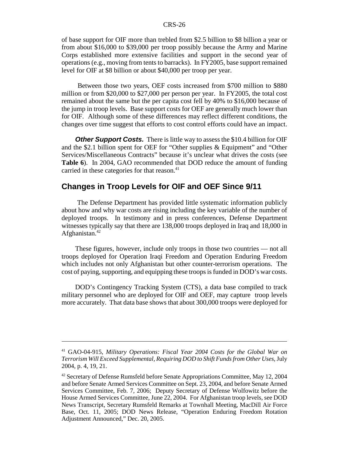of base support for OIF more than trebled from \$2.5 billion to \$8 billion a year or from about \$16,000 to \$39,000 per troop possibly because the Army and Marine Corps established more extensive facilities and support in the second year of operations (e.g., moving from tents to barracks). In FY2005, base support remained level for OIF at \$8 billion or about \$40,000 per troop per year.

 Between those two years, OEF costs increased from \$700 million to \$880 million or from \$20,000 to \$27,000 per person per year. In FY2005, the total cost remained about the same but the per capita cost fell by 40% to \$16,000 because of the jump in troop levels. Base support costs for OEF are generally much lower than for OIF. Although some of these differences may reflect different conditions, the changes over time suggest that efforts to cost control efforts could have an impact.

*Other Support Costs.* There is little way to assess the \$10.4 billion for OIF and the \$2.1 billion spent for OEF for "Other supplies & Equipment" and "Other Services/Miscellaneous Contracts" because it's unclear what drives the costs (see **Table 6**). In 2004, GAO recommended that DOD reduce the amount of funding carried in these categories for that reason.<sup>41</sup>

## **Changes in Troop Levels for OIF and OEF Since 9/11**

 The Defense Department has provided little systematic information publicly about how and why war costs are rising including the key variable of the number of deployed troops. In testimony and in press conferences, Defense Department witnesses typically say that there are 138,000 troops deployed in Iraq and 18,000 in Afghanistan. $42$ 

These figures, however, include only troops in those two countries — not all troops deployed for Operation Iraqi Freedom and Operation Enduring Freedom which includes not only Afghanistan but other counter-terrorism operations. The cost of paying, supporting, and equipping these troops is funded in DOD's war costs.

DOD's Contingency Tracking System (CTS), a data base compiled to track military personnel who are deployed for OIF and OEF, may capture troop levels more accurately. That data base shows that about 300,000 troops were deployed for

<sup>41</sup> GAO-04-915, *Military Operations: Fiscal Year 2004 Costs for the Global War on Terrorism Will Exceed Supplemental, Requiring DOD to Shift Funds from Other Uses*, July 2004, p. 4, 19, 21.

<sup>&</sup>lt;sup>42</sup> Secretary of Defense Rumsfeld before Senate Appropriations Committee, May 12, 2004 and before Senate Armed Services Committee on Sept. 23, 2004, and before Senate Armed Services Committee, Feb. 7, 2006; Deputy Secretary of Defense Wolfowitz before the House Armed Services Committee, June 22, 2004. For Afghanistan troop levels, see DOD News Transcript, Secretary Rumsfeld Remarks at Townhall Meeting, MacDill Air Force Base, Oct. 11, 2005; DOD News Release, "Operation Enduring Freedom Rotation Adjustment Announced," Dec. 20, 2005.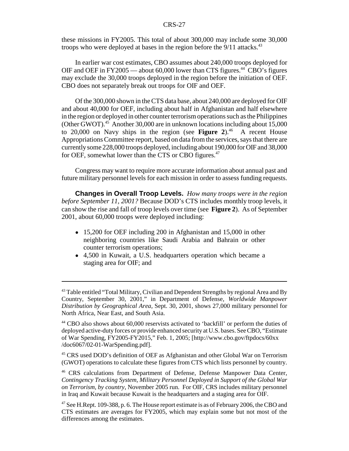these missions in FY2005. This total of about 300,000 may include some 30,000 troops who were deployed at bases in the region before the  $9/11$  attacks.<sup>43</sup>

In earlier war cost estimates, CBO assumes about 240,000 troops deployed for OIF and OEF in FY2005 — about  $60,000$  lower than CTS figures.<sup>44</sup> CBO's figures may exclude the 30,000 troops deployed in the region before the initiation of OEF. CBO does not separately break out troops for OIF and OEF.

Of the 300,000 shown in the CTS data base, about 240,000 are deployed for OIF and about 40,000 for OEF, including about half in Afghanistan and half elsewhere in the region or deployed in other counter terrorism operations such as the Philippines (Other GWOT). $45$  Another 30,000 are in unknown locations including about 15,000 to  $20,000$  on Navy ships in the region (see **Figure 2**).<sup>46</sup> A recent House Appropriations Committee report, based on data from the services, says that there are currently some 228,000 troops deployed, including about 190,000 for OIF and 38,000 for OEF, somewhat lower than the CTS or CBO figures.<sup>47</sup>

Congress may want to require more accurate information about annual past and future military personnel levels for each mission in order to assess funding requests.

**Changes in Overall Troop Levels.** *How many troops were in the region before September 11, 2001?* Because DOD's CTS includes monthly troop levels, it can show the rise and fall of troop levels over time (see **Figure 2**). As of September 2001, about 60,000 troops were deployed including:

- 15,200 for OEF including 200 in Afghanistan and 15,000 in other neighboring countries like Saudi Arabia and Bahrain or other counter terrorism operations;
- ! 4,500 in Kuwait, a U.S. headquarters operation which became a staging area for OIF; and

<sup>&</sup>lt;sup>43</sup> Table entitled "Total Military, Civilian and Dependent Strengths by regional Area and By Country, September 30, 2001," in Department of Defense, *Worldwide Manpower Distribution by Geographical Area,* Sept. 30, 2001, shows 27,000 military personnel for North Africa, Near East, and South Asia.

<sup>44</sup> CBO also shows about 60,000 reservists activated to 'backfill' or perform the duties of deployed active-duty forces or provide enhanced security at U.S. bases. See CBO, "Estimate of War Spending, FY2005-FY2015," Feb. 1, 2005; [http://www.cbo.gov/ftpdocs/60xx /doc6067/02-01-WarSpending.pdf].

<sup>&</sup>lt;sup>45</sup> CRS used DOD's definition of OEF as Afghanistan and other Global War on Terrorism (GWOT) operations to calculate these figures from CTS which lists personnel by country.

<sup>&</sup>lt;sup>46</sup> CRS calculations from Department of Defense, Defense Manpower Data Center, *Contingency Tracking System, Military Personnel Deployed in Support of the Global War on Terrorism, by country*, November 2005 run. For OIF, CRS includes military personnel in Iraq and Kuwait because Kuwait is the headquarters and a staging area for OIF.

<sup>&</sup>lt;sup>47</sup> See H.Rept. 109-388, p. 6. The House report estimate is as of February 2006, the CBO and CTS estimates are averages for FY2005, which may explain some but not most of the differences among the estimates.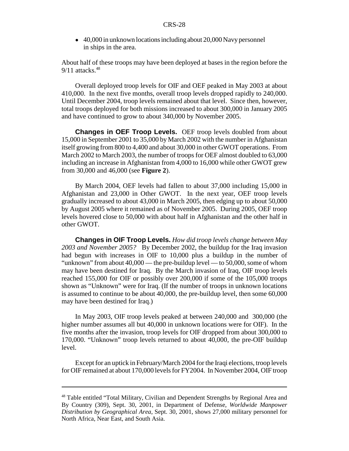• 40,000 in unknown locations including about 20,000 Navy personnel in ships in the area.

About half of these troops may have been deployed at bases in the region before the  $9/11$  attacks.<sup>48</sup>

Overall deployed troop levels for OIF and OEF peaked in May 2003 at about 410,000. In the next five months, overall troop levels dropped rapidly to 240,000. Until December 2004, troop levels remained about that level. Since then, however, total troops deployed for both missions increased to about 300,000 in January 2005 and have continued to grow to about 340,000 by November 2005.

**Changes in OEF Troop Levels.** OEF troop levels doubled from about 15,000 in September 2001 to 35,000 by March 2002 with the number in Afghanistan itself growing from 800 to 4,400 and about 30,000 in other GWOT operations. From March 2002 to March 2003, the number of troops for OEF almost doubled to 63,000 including an increase in Afghanistan from 4,000 to 16,000 while other GWOT grew from 30,000 and 46,000 (see **Figure 2**).

By March 2004, OEF levels had fallen to about 37,000 including 15,000 in Afghanistan and 23,000 in Other GWOT. In the next year, OEF troop levels gradually increased to about 43,000 in March 2005, then edging up to about 50,000 by August 2005 where it remained as of November 2005. During 2005, OEF troop levels hovered close to 50,000 with about half in Afghanistan and the other half in other GWOT.

**Changes in OIF Troop Levels.** *How did troop levels change between May 2003 and November 2005?* By December 2002, the buildup for the Iraq invasion had begun with increases in OIF to 10,000 plus a buildup in the number of "unknown" from about 40,000 — the pre-buildup level — to 50,000, some of whom may have been destined for Iraq. By the March invasion of Iraq, OIF troop levels reached 155,000 for OIF or possibly over 200,000 if some of the 105,000 troops shown as "Unknown" were for Iraq. (If the number of troops in unknown locations is assumed to continue to be about 40,000, the pre-buildup level, then some 60,000 may have been destined for Iraq.)

In May 2003, OIF troop levels peaked at between 240,000 and 300,000 (the higher number assumes all but 40,000 in unknown locations were for OIF). In the five months after the invasion, troop levels for OIF dropped from about 300,000 to 170,000. "Unknown" troop levels returned to about 40,000, the pre-OIF buildup level.

Except for an uptick in February/March 2004 for the Iraqi elections, troop levels for OIF remained at about 170,000 levels for FY2004. In November 2004, OIF troop

<sup>&</sup>lt;sup>48</sup> Table entitled "Total Military, Civilian and Dependent Strengths by Regional Area and By Country (309), Sept. 30, 2001, in Department of Defense, *Worldwide Manpower Distribution by Geographical Area*, Sept. 30, 2001, shows 27,000 military personnel for North Africa, Near East, and South Asia.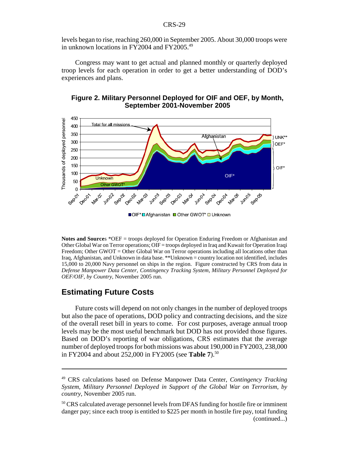levels began to rise, reaching 260,000 in September 2005. About 30,000 troops were in unknown locations in FY2004 and FY2005.<sup>49</sup>

Congress may want to get actual and planned monthly or quarterly deployed troop levels for each operation in order to get a better understanding of DOD's experiences and plans.



#### **Figure 2. Military Personnel Deployed for OIF and OEF, by Month, September 2001-November 2005**

■OIF\*□Afghanistan ■ Other GWOT\* □ Unknown

**Notes and Sources** \*OEF = troops deployed for Operation Enduring Freedom or Afghanistan and Other Global War on Terror operations; OIF = troops deployed in Iraq and Kuwait for Operation Iraqi Freedom; Other GWOT = Other Global War on Terror operations including all locations other than Iraq, Afghanistan, and Unknown in data base. \*\*Unknown = country location not identified, includes 15,000 to 20,000 Navy personnel on ships in the region. Figure constructed by CRS from data in *Defense Manpower Data Center, Contingency Tracking System, Military Personnel Deployed for OEF/OIF, by Country*, November 2005 run.

## **Estimating Future Costs**

Future costs will depend on not only changes in the number of deployed troops but also the pace of operations, DOD policy and contracting decisions, and the size of the overall reset bill in years to come. For cost purposes, average annual troop levels may be the most useful benchmark but DOD has not provided those figures. Based on DOD's reporting of war obligations, CRS estimates that the average number of deployed troops for both missions was about 190,000 in FY2003, 238,000 in FY2004 and about 252,000 in FY2005 (see **Table 7**).<sup>50</sup>

<sup>49</sup> CRS calculations based on Defense Manpower Data Center, *Contingency Tracking System, Military Personnel Deployed in Support of the Global War on Terrorism, by country*, November 2005 run.

<sup>50</sup> CRS calculated average personnel levels from DFAS funding for hostile fire or imminent danger pay; since each troop is entitled to \$225 per month in hostile fire pay, total funding (continued...)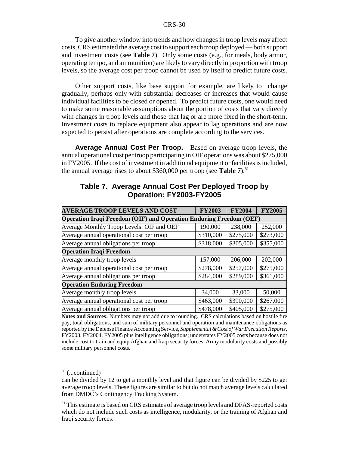To give another window into trends and how changes in troop levels may affect costs, CRS estimated the average cost to support each troop deployed — both support and investment costs (see **Table 7**). Only some costs (e.g., for meals, body armor, operating tempo, and ammunition) are likely to vary directly in proportion with troop levels, so the average cost per troop cannot be used by itself to predict future costs.

Other support costs, like base support for example, are likely to change gradually, perhaps only with substantial decreases or increases that would cause individual facilities to be closed or opened. To predict future costs, one would need to make some reasonable assumptions about the portion of costs that vary directly with changes in troop levels and those that lag or are more fixed in the short-term. Investment costs to replace equipment also appear to lag operations and are now expected to persist after operations are complete according to the services.

**Average Annual Cost Per Troop.** Based on average troop levels, the annual operational cost per troop participating in OIF operations was about \$275,000 in FY2005. If the cost of investment in additional equipment or facilities is included, the annual average rises to about  $$360,000$  per troop (see **Table 7**).<sup>51</sup>

| <b>AVERAGE TROOP LEVELS AND COST</b>                                      | <b>FY2003</b> | <b>FY2004</b> | <b>FY2005</b> |  |  |  |
|---------------------------------------------------------------------------|---------------|---------------|---------------|--|--|--|
| <b>Operation Iraqi Freedom (OIF) and Operation Enduring Freedom (OEF)</b> |               |               |               |  |  |  |
| Average Monthly Troop Levels: OIF and OEF                                 | 190,000       | 238,000       | 252,000       |  |  |  |
| Average annual operational cost per troop                                 | \$310,000     | \$275,000     | \$273,000     |  |  |  |
| Average annual obligations per troop                                      | \$318,000     | \$305,000     | \$355,000     |  |  |  |
| <b>Operation Iraqi Freedom</b>                                            |               |               |               |  |  |  |
| Average monthly troop levels                                              | 157,000       | 206,000       | 202,000       |  |  |  |
| Average annual operational cost per troop                                 | \$278,000     | \$257,000     | \$275,000     |  |  |  |
| Average annual obligations per troop                                      | \$284,000     | \$289,000     | \$361,000     |  |  |  |
| <b>Operation Enduring Freedom</b>                                         |               |               |               |  |  |  |
| Average monthly troop levels                                              | 34,000        | 33,000        | 50,000        |  |  |  |
| Average annual operational cost per troop                                 | \$463,000     | \$390,000     | \$267,000     |  |  |  |
| Average annual obligations per troop                                      | \$478,000     | \$405,000     | \$275,000     |  |  |  |

### **Table 7. Average Annual Cost Per Deployed Troop by Operation: FY2003-FY2005**

**Notes and Sources:** Numbers may not add due to rounding. CRS calculations based on hostile fire pay, total obligations, and sum of military personnel and operation and maintenance obligations as reported by the Defense Finance Accounting Service, *Supplemental & Cost of War Execution Reports*, FY2003, FY2004, FY2005 plus intelligence obligations; understates FY2005 costs because does not include cost to train and equip Afghan and Iraqi security forces, Army modularity costs and possibly some military personnel costs.

 $50$  (...continued)

can be divided by 12 to get a monthly level and that figure can be divided by \$225 to get average troop levels. These figures are similar to but do not match average levels calculated from DMDC's Contingency Tracking System.

<sup>&</sup>lt;sup>51</sup> This estimate is based on CRS estimates of average troop levels and DFAS-reported costs which do not include such costs as intelligence, modularity, or the training of Afghan and Iraqi security forces.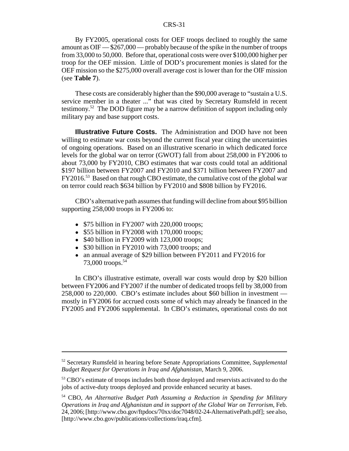By FY2005, operational costs for OEF troops declined to roughly the same amount as OIF — \$267,000 — probably because of the spike in the number of troops from 33,000 to 50,000. Before that, operational costs were over \$100,000 higher per troop for the OEF mission. Little of DOD's procurement monies is slated for the OEF mission so the \$275,000 overall average cost is lower than for the OIF mission (see **Table 7**).

These costs are considerably higher than the \$90,000 average to "sustain a U.S. service member in a theater ..." that was cited by Secretary Rumsfeld in recent testimony.52 The DOD figure may be a narrow definition of support including only military pay and base support costs.

**Illustrative Future Costs.** The Administration and DOD have not been willing to estimate war costs beyond the current fiscal year citing the uncertainties of ongoing operations. Based on an illustrative scenario in which dedicated force levels for the global war on terror (GWOT) fall from about 258,000 in FY2006 to about 73,000 by FY2010, CBO estimates that war costs could total an additional \$197 billion between FY2007 and FY2010 and \$371 billion between FY2007 and FY2016.53 Based on that rough CBO estimate, the cumulative cost of the global war on terror could reach \$634 billion by FY2010 and \$808 billion by FY2016.

CBO's alternative path assumes that funding will decline from about \$95 billion supporting 258,000 troops in FY2006 to:

- $$75$  billion in FY2007 with 220,000 troops;
- $\bullet$  \$55 billion in FY2008 with 170,000 troops;
- $$40$  billion in FY2009 with 123,000 troops;
- \$30 billion in FY2010 with 73,000 troops; and
- an annual average of \$29 billion between FY2011 and FY2016 for 73,000 troops.<sup>54</sup>

In CBO's illustrative estimate, overall war costs would drop by \$20 billion between FY2006 and FY2007 if the number of dedicated troops fell by 38,000 from 258,000 to 220,000. CBO's estimate includes about \$60 billion in investment mostly in FY2006 for accrued costs some of which may already be financed in the FY2005 and FY2006 supplemental. In CBO's estimates, operational costs do not

<sup>52</sup> Secretary Rumsfeld in hearing before Senate Appropriations Committee, *Supplemental Budget Request for Operations in Iraq and Afghanistan*, March 9, 2006.

<sup>&</sup>lt;sup>53</sup> CBO's estimate of troops includes both those deployed and reservists activated to do the jobs of active-duty troops deployed and provide enhanced security at bases.

<sup>54</sup> CBO, *An Alternative Budget Path Assuming a Reduction in Spending for Military Operations in Iraq and Afghanistan and in support of the Global War on Terrorism*, Feb. 24, 2006; [http://www.cbo.gov/ftpdocs/70xx/doc7048/02-24-AlternativePath.pdf]; see also, [http://www.cbo.gov/publications/collections/iraq.cfm].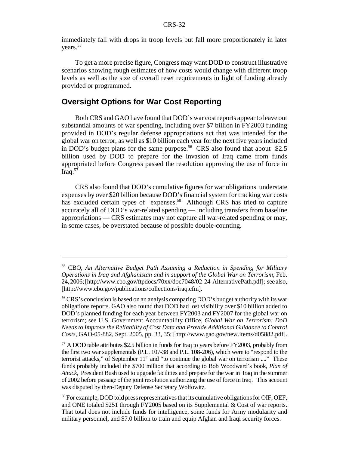immediately fall with drops in troop levels but fall more proportionately in later years.<sup>55</sup>

To get a more precise figure, Congress may want DOD to construct illustrative scenarios showing rough estimates of how costs would change with different troop levels as well as the size of overall reset requirements in light of funding already provided or programmed.

## **Oversight Options for War Cost Reporting**

Both CRS and GAO have found that DOD's war cost reports appear to leave out substantial amounts of war spending, including over \$7 billion in FY2003 funding provided in DOD's regular defense appropriations act that was intended for the global war on terror, as well as \$10 billion each year for the next five years included in DOD's budget plans for the same purpose.<sup>56</sup> CRS also found that about \$2.5 billion used by DOD to prepare for the invasion of Iraq came from funds appropriated before Congress passed the resolution approving the use of force in Iraq. $57$ 

CRS also found that DOD's cumulative figures for war obligations understate expenses by over \$20 billion because DOD's financial system for tracking war costs has excluded certain types of expenses.<sup>58</sup> Although CRS has tried to capture accurately all of DOD's war-related spending — including transfers from baseline appropriations — CRS estimates may not capture all war-related spending or may, in some cases, be overstated because of possible double-counting.

<sup>55</sup> CBO, *An Alternative Budget Path Assuming a Reduction in Spending for Military Operations in Iraq and Afghanistan and in support of the Global War on Terrorism*, Feb. 24, 2006; [http://www.cbo.gov/ftpdocs/70xx/doc7048/02-24-AlternativePath.pdf]; see also, [http://www.cbo.gov/publications/collections/iraq.cfm].

<sup>&</sup>lt;sup>56</sup> CRS's conclusion is based on an analysis comparing DOD's budget authority with its war obligations reports. GAO also found that DOD had lost visibility over \$10 billion added to DOD's planned funding for each year between FY2003 and FY2007 for the global war on terrorism; see U.S. Government Accountability Office, *Global War on Terrorism: DoD Needs to Improve the Reliability of Cost Data and Provide Additional Guidance to Control Costs,* GAO-05-882, Sept. 2005, pp. 33, 35; [http://www.gao.gov/new.items/d05882.pdf].

<sup>&</sup>lt;sup>57</sup> A DOD table attributes \$2.5 billion in funds for Iraq to years before FY2003, probably from the first two war supplementals (P.L. 107-38 and P.L. 108-206), which were to "respond to the terrorist attacks," of September  $11<sup>th</sup>$  and "to continue the global war on terrorism ...." These funds probably included the \$700 million that according to Bob Woodward's book, *Plan of Attack*, President Bush used to upgrade facilities and prepare for the war in Iraq in the summer of 2002 before passage of the joint resolution authorizing the use of force in Iraq. This account was disputed by then-Deputy Defense Secretary Wolfowitz.

<sup>&</sup>lt;sup>58</sup> For example, DOD told press representatives that its cumulative obligations for OIF, OEF, and ONE totaled \$251 through FY2005 based on its Supplemental & Cost of war reports. That total does not include funds for intelligence, some funds for Army modularity and military personnel, and \$7.0 billion to train and equip Afghan and Iraqi security forces.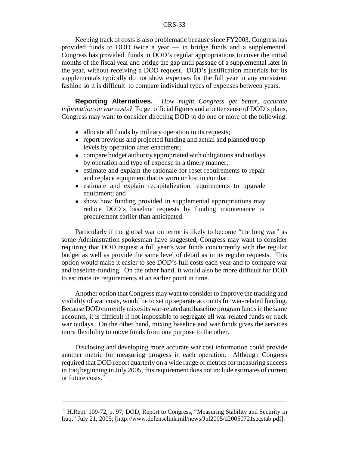Keeping track of costs is also problematic because since FY2003, Congress has provided funds to DOD twice a year — in bridge funds and a supplemental. Congress has provided funds in DOD's regular appropriations to cover the initial months of the fiscal year and bridge the gap until passage of a supplemental later in the year, without receiving a DOD request. DOD's justification materials for its supplementals typically do not show expenses for the full year in any consistent fashion so it is difficult to compare individual types of expenses between years.

**Reporting Alternatives.** *How might Congress get better, accurate information on war costs?* To get official figures and a better sense of DOD's plans, Congress may want to consider directing DOD to do one or more of the following:

- allocate all funds by military operation in its requests;
- report previous and projected funding and actual and planned troop levels by operation after enactment;
- compare budget authority appropriated with obligations and outlays by operation and type of expense in a timely manner;
- estimate and explain the rationale for reset requirements to repair and replace equipment that is worn or lost in combat;
- ! estimate and explain recapitalization requirements to upgrade equipment; and
- show how funding provided in supplemental appropriations may reduce DOD's baseline requests by funding maintenance or procurement earlier than anticipated.

Particularly if the global war on terror is likely to become "the long war" as some Administration spokesman have suggested, Congress may want to consider requiring that DOD request a full year's war funds concurrently with the regular budget as well as provide the same level of detail as in its regular requests. This option would make it easier to see DOD's full costs each year and to compare war and baseline-funding. On the other hand, it would also be more difficult for DOD to estimate its requirements at an earlier point in time.

Another option that Congress may want to consider to improve the tracking and visibility of war costs, would be to set up separate accounts for war-related funding. Because DOD currently mixes its war-related and baseline program funds in the same accounts, it is difficult if not impossible to segregate all war-related funds or track war outlays. On the other hand, mixing baseline and war funds gives the services more flexibility to move funds from one purpose to the other.

Disclosing and developing more accurate war cost information could provide another metric for measuring progress in each operation. Although Congress required that DOD report quarterly on a wide range of metrics for measuring success in Iraq beginning in July 2005, this requirement does not include estimates of current or future costs.59

<sup>59</sup> H.Rept. 109-72, p. 97; DOD, Report to Congress, "Measuring Stability and Security in Iraq," July 21, 2005; [http://www.defenselink.mil/news/Jul2005/d20050721secstab.pdf].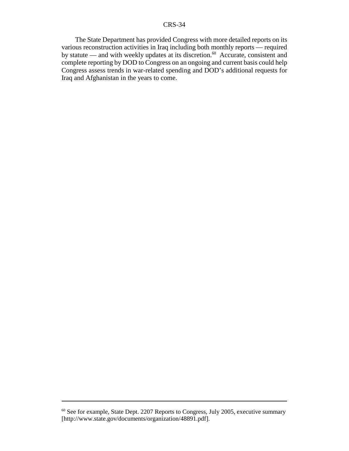The State Department has provided Congress with more detailed reports on its various reconstruction activities in Iraq including both monthly reports — required by statute — and with weekly updates at its discretion.<sup>60</sup> Accurate, consistent and complete reporting by DOD to Congress on an ongoing and current basis could help Congress assess trends in war-related spending and DOD's additional requests for Iraq and Afghanistan in the years to come.

<sup>60</sup> See for example, State Dept. 2207 Reports to Congress, July 2005, executive summary [http://www.state.gov/documents/organization/48891.pdf].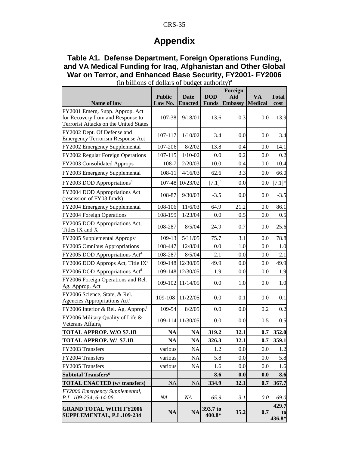## **Appendix**

## **Table A1. Defense Department, Foreign Operations Funding, and VA Medical Funding for Iraq, Afghanistan and Other Global War on Terror, and Enhanced Base Security, FY2001- FY2006**

| Name of law                                                                                                    | <b>Public</b><br>Law No. | <b>Date</b><br><b>Enacted</b> | <b>DOD</b><br><b>Funds</b> | Foreign<br>Aid<br><b>Embassy</b> | <b>VA</b><br><b>Medical</b> | <b>Total</b><br>cost  |
|----------------------------------------------------------------------------------------------------------------|--------------------------|-------------------------------|----------------------------|----------------------------------|-----------------------------|-----------------------|
| FY2001 Emerg. Supp. Approp. Act<br>for Recovery from and Response to<br>Terrorist Attacks on the United States | 107-38                   | 9/18/01                       | 13.6                       | 0.3                              | 0.0                         | 13.9                  |
| FY2002 Dept. Of Defense and<br><b>Emergency Terrorism Response Act</b>                                         | 107-117                  | 1/10/02                       | 3.4                        | 0.0                              | 0.0                         | 3.4                   |
| FY2002 Emergency Supplemental                                                                                  | 107-206                  | 8/2/02                        | 13.8                       | 0.4                              | 0.0                         | 14.1                  |
| FY2002 Regular Foreign Operations                                                                              | 107-115                  | $1/10 - 02$                   | 0.0                        | 0.2                              | 0.0                         | 0.2                   |
| FY2003 Consolidated Approps                                                                                    | 108-7                    | 2/20/03                       | 10.0                       | 0.4                              | 0.0                         | 10.4                  |
| FY2003 Emergency Supplemental                                                                                  | 108-11                   | 4/16/03                       | 62.6                       | 3.3                              | 0.0                         | 66.0                  |
| FY2003 DOD Appropriations <sup>b</sup>                                                                         | 107-48                   | 10/23/02                      | $[7.1]^{b}$                | 0.0                              | 0.0                         | $[7.1]*$              |
| FY2004 DOD Appropriations Act<br>(rescission of FY03 funds)                                                    | 108-87                   | 9/30/03                       | $-3.5$                     | 0.0                              | 0.0                         | $-3.5$                |
| FY2004 Emergency Supplemental                                                                                  | 108-106                  | 11/6/03                       | 64.9                       | 21.2                             | 0.0                         | 86.1                  |
| FY2004 Foreign Operations                                                                                      | 108-199                  | 1/23/04                       | 0.0                        | 0.5                              | 0.0                         | 0.5                   |
| FY2005 DOD Appropriations Act,<br>Titles IX and X                                                              | 108-287                  | 8/5/04                        | 24.9                       | 0.7                              | 0.0                         | 25.6                  |
| $FY2005$ Supplemental Approps <sup>c</sup>                                                                     | 109-13                   | 5/11/05                       | 75.7                       | 3.1                              | 0.0                         | 78.8                  |
| FY2005 Omnibus Appropriations                                                                                  | 108-447                  | 12/8/04                       | 0.0                        | 1.0                              | 0.0                         | 1.0                   |
| FY2005 DOD Appropriations Act <sup>d</sup>                                                                     | 108-287                  | 8/5/04                        | 2.1                        | 0.0                              | 0.0                         | 2.1                   |
| FY2006 DOD Approps Act, Title IX <sup>e</sup>                                                                  | 109-148                  | 12/30/05                      | 49.9                       | 0.0                              | 0.0                         | 49.9                  |
| FY2006 DOD Appropriations Act <sup>d</sup>                                                                     | 109-148                  | 12/30/05                      | 1.9                        | 0.0                              | 0.0                         | 1.9                   |
| FY2006 Foreign Operations and Rel.<br>Ag. Approp. Act                                                          | 109-102                  | 11/14/05                      | 0.0                        | 1.0                              | 0.0                         | 1.0                   |
| FY2006 Science, State, & Rel.<br>Agencies Appropriations Act <sup>e</sup>                                      | 109-108                  | 11/22/05                      | 0.0                        | 0.1                              | 0.0                         | 0.1                   |
| FY2006 Interior & Rel. Ag. Approp. <sup>f</sup>                                                                | 109-54                   | 8/2/05                        | 0.0                        | 0.0                              | 0.2                         | 0.2                   |
| FY2006 Military Quality of Life &<br>Veterans Affairs,                                                         | 109-114                  | 11/30/05                      | 0.0                        | 0.0                              | 0.5                         | 0.5                   |
| <b>TOTAL APPROP. W/O \$7.1B</b>                                                                                | <b>NA</b>                | <b>NA</b>                     | 319.2                      | 32.1                             | 0.7                         | 352.0                 |
| TOTAL APPROP. W/ \$7.1B                                                                                        | NA                       | NA                            | 326.3                      | 32.1                             | 0.7                         | 359.1                 |
| FY2003 Transfers                                                                                               | various                  | <b>NA</b>                     | $1.2\,$                    | $0.0\,$                          | 0.0                         | 1.2                   |
| FY2004 Transfers                                                                                               | various                  | <b>NA</b>                     | 5.8                        | 0.0                              | 0.0                         | 5.8                   |
| FY2005 Transfers                                                                                               | various                  | <b>NA</b>                     | 1.6                        | 0.0                              | 0.0                         | 1.6                   |
| <b>Subtotal Transfers<sup>g</sup></b>                                                                          |                          |                               | 8.6                        | 0.0                              | 0.0                         | 8.6                   |
| <b>TOTAL ENACTED (w/ transfers)</b>                                                                            | <b>NA</b>                | <b>NA</b>                     | 334.9                      | 32.1                             | 0.7                         | 367.7                 |
| FY2006 Emergency Supplemental,<br>P.L. 109-234, 6-14-06                                                        | NA                       | NA                            | 65.9                       | 3.1                              | 0.0                         | 69.0                  |
| <b>GRAND TOTAL WITH FY2006</b><br>SUPPLEMENTAL, P.L.109-234                                                    | NA                       | <b>NA</b>                     | 393.7 to<br>400.8*         | 35.2                             | 0.7                         | 429.7<br>to<br>436.8* |

(in billions of dollars of budget authority)<sup>a</sup>